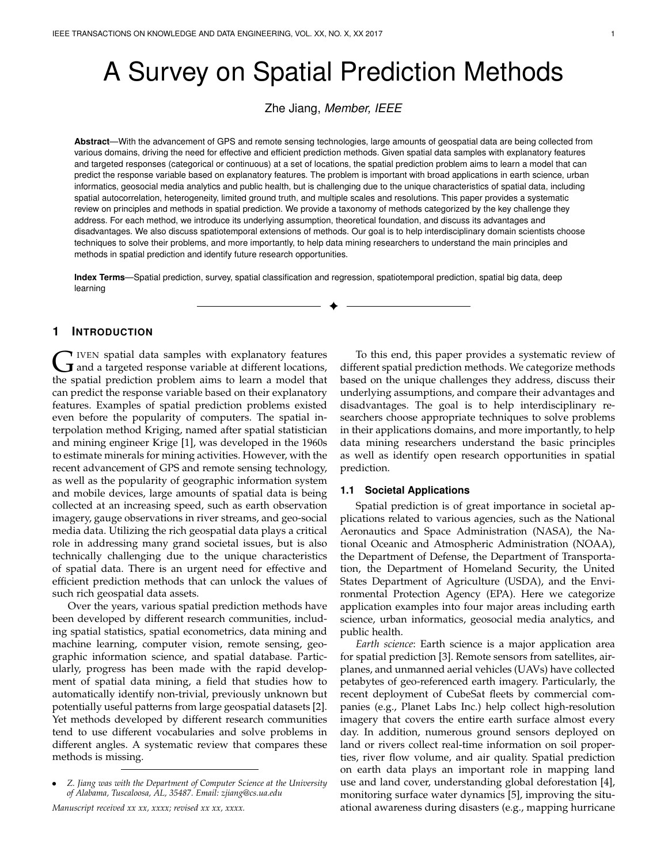# A Survey on Spatial Prediction Methods

Zhe Jiang, *Member, IEEE*

**Abstract**—With the advancement of GPS and remote sensing technologies, large amounts of geospatial data are being collected from various domains, driving the need for effective and efficient prediction methods. Given spatial data samples with explanatory features and targeted responses (categorical or continuous) at a set of locations, the spatial prediction problem aims to learn a model that can predict the response variable based on explanatory features. The problem is important with broad applications in earth science, urban informatics, geosocial media analytics and public health, but is challenging due to the unique characteristics of spatial data, including spatial autocorrelation, heterogeneity, limited ground truth, and multiple scales and resolutions. This paper provides a systematic review on principles and methods in spatial prediction. We provide a taxonomy of methods categorized by the key challenge they address. For each method, we introduce its underlying assumption, theoretical foundation, and discuss its advantages and disadvantages. We also discuss spatiotemporal extensions of methods. Our goal is to help interdisciplinary domain scientists choose techniques to solve their problems, and more importantly, to help data mining researchers to understand the main principles and methods in spatial prediction and identify future research opportunities.

**Index Terms**—Spatial prediction, survey, spatial classification and regression, spatiotemporal prediction, spatial big data, deep learning

✦

# **1 INTRODUCTION**

G IVEN spatial data samples with explanatory features<br>the spatial prediction problem aims to learn a model that<br>the spatial prediction problem aims to learn a model that IVEN spatial data samples with explanatory features  $\mathbf J$  and a targeted response variable at different locations, can predict the response variable based on their explanatory features. Examples of spatial prediction problems existed even before the popularity of computers. The spatial interpolation method Kriging, named after spatial statistician and mining engineer Krige [1], was developed in the 1960s to estimate minerals for mining activities. However, with the recent advancement of GPS and remote sensing technology, as well as the popularity of geographic information system and mobile devices, large amounts of spatial data is being collected at an increasing speed, such as earth observation imagery, gauge observations in river streams, and geo-social media data. Utilizing the rich geospatial data plays a critical role in addressing many grand societal issues, but is also technically challenging due to the unique characteristics of spatial data. There is an urgent need for effective and efficient prediction methods that can unlock the values of such rich geospatial data assets.

Over the years, various spatial prediction methods have been developed by different research communities, including spatial statistics, spatial econometrics, data mining and machine learning, computer vision, remote sensing, geographic information science, and spatial database. Particularly, progress has been made with the rapid development of spatial data mining, a field that studies how to automatically identify non-trivial, previously unknown but potentially useful patterns from large geospatial datasets [2]. Yet methods developed by different research communities tend to use different vocabularies and solve problems in different angles. A systematic review that compares these methods is missing.

*Manuscript received xx xx, xxxx; revised xx xx, xxxx.*

To this end, this paper provides a systematic review of different spatial prediction methods. We categorize methods based on the unique challenges they address, discuss their underlying assumptions, and compare their advantages and disadvantages. The goal is to help interdisciplinary researchers choose appropriate techniques to solve problems in their applications domains, and more importantly, to help data mining researchers understand the basic principles as well as identify open research opportunities in spatial prediction.

### **1.1 Societal Applications**

Spatial prediction is of great importance in societal applications related to various agencies, such as the National Aeronautics and Space Administration (NASA), the National Oceanic and Atmospheric Administration (NOAA), the Department of Defense, the Department of Transportation, the Department of Homeland Security, the United States Department of Agriculture (USDA), and the Environmental Protection Agency (EPA). Here we categorize application examples into four major areas including earth science, urban informatics, geosocial media analytics, and public health.

*Earth science*: Earth science is a major application area for spatial prediction [3]. Remote sensors from satellites, airplanes, and unmanned aerial vehicles (UAVs) have collected petabytes of geo-referenced earth imagery. Particularly, the recent deployment of CubeSat fleets by commercial companies (e.g., Planet Labs Inc.) help collect high-resolution imagery that covers the entire earth surface almost every day. In addition, numerous ground sensors deployed on land or rivers collect real-time information on soil properties, river flow volume, and air quality. Spatial prediction on earth data plays an important role in mapping land use and land cover, understanding global deforestation [4], monitoring surface water dynamics [5], improving the situational awareness during disasters (e.g., mapping hurricane

<sup>•</sup> *Z. Jiang was with the Department of Computer Science at the University of Alabama, Tuscaloosa, AL, 35487. Email: zjiang@cs.ua.edu*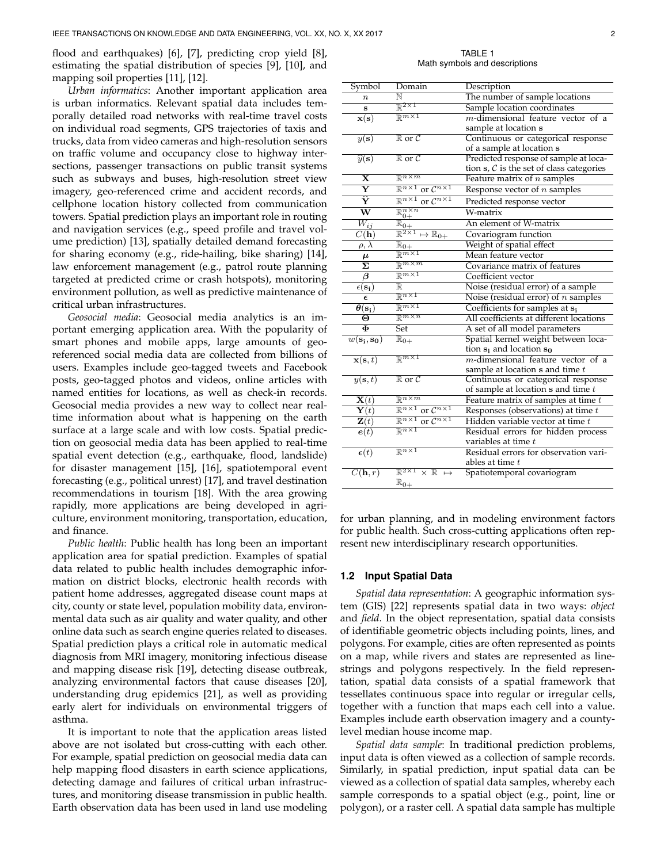flood and earthquakes) [6], [7], predicting crop yield [8], estimating the spatial distribution of species [9], [10], and mapping soil properties [11], [12].

*Urban informatics*: Another important application area is urban informatics. Relevant spatial data includes temporally detailed road networks with real-time travel costs on individual road segments, GPS trajectories of taxis and trucks, data from video cameras and high-resolution sensors on traffic volume and occupancy close to highway intersections, passenger transactions on public transit systems such as subways and buses, high-resolution street view imagery, geo-referenced crime and accident records, and cellphone location history collected from communication towers. Spatial prediction plays an important role in routing and navigation services (e.g., speed profile and travel volume prediction) [13], spatially detailed demand forecasting for sharing economy (e.g., ride-hailing, bike sharing) [14], law enforcement management (e.g., patrol route planning targeted at predicted crime or crash hotspots), monitoring environment pollution, as well as predictive maintenance of critical urban infrastructures.

*Geosocial media*: Geosocial media analytics is an important emerging application area. With the popularity of smart phones and mobile apps, large amounts of georeferenced social media data are collected from billions of users. Examples include geo-tagged tweets and Facebook posts, geo-tagged photos and videos, online articles with named entities for locations, as well as check-in records. Geosocial media provides a new way to collect near realtime information about what is happening on the earth surface at a large scale and with low costs. Spatial prediction on geosocial media data has been applied to real-time spatial event detection (e.g., earthquake, flood, landslide) for disaster management [15], [16], spatiotemporal event forecasting (e.g., political unrest) [17], and travel destination recommendations in tourism [18]. With the area growing rapidly, more applications are being developed in agriculture, environment monitoring, transportation, education, and finance.

*Public health*: Public health has long been an important application area for spatial prediction. Examples of spatial data related to public health includes demographic information on district blocks, electronic health records with patient home addresses, aggregated disease count maps at city, county or state level, population mobility data, environmental data such as air quality and water quality, and other online data such as search engine queries related to diseases. Spatial prediction plays a critical role in automatic medical diagnosis from MRI imagery, monitoring infectious disease and mapping disease risk [19], detecting disease outbreak, analyzing environmental factors that cause diseases [20], understanding drug epidemics [21], as well as providing early alert for individuals on environmental triggers of asthma.

It is important to note that the application areas listed above are not isolated but cross-cutting with each other. For example, spatial prediction on geosocial media data can help mapping flood disasters in earth science applications, detecting damage and failures of critical urban infrastructures, and monitoring disease transmission in public health. Earth observation data has been used in land use modeling

TABLE 1 Math symbols and descriptions

| Symbol                                     | Domain                                                                            | Description                                   |
|--------------------------------------------|-----------------------------------------------------------------------------------|-----------------------------------------------|
| $\it n$                                    | N                                                                                 | The number of sample locations                |
| s                                          | $\mathbb{R}^{2\times 1}$                                                          | Sample location coordinates                   |
| $\overline{\mathbf{x(s)}}$                 | $\mathbb{R}^{m \times 1}$                                                         | $m$ -dimensional feature vector of a          |
|                                            |                                                                                   | sample at location s                          |
| $y(\mathbf{s})$                            | $\mathbb R$ or $\mathcal C$                                                       | Continuous or categorical response            |
|                                            |                                                                                   | of a sample at location s                     |
| $\widehat{y}(\mathbf{s})$                  | $\mathbb R$ or $\mathcal C$                                                       | Predicted response of sample at loca-         |
|                                            |                                                                                   | tion $s$ , $C$ is the set of class categories |
| $\overline{\mathbf{X}}$                    | $\mathbb{R}^{n \times m}$                                                         | Feature matrix of $n$ samples                 |
| $\overline{\mathbf{Y}}$                    | $\overline{\mathbb{R}^{n\times 1}}$ or $\mathcal{C}^{n\times 1}$                  | Response vector of $n$ samples                |
| $\widehat{\mathbf{Y}}$                     | $\mathbb{R}^{n\times 1}$ or $\mathcal{C}^{n\times 1}$                             | Predicted response vector                     |
| W                                          | $\mathbb{R}^{n\times n}_{0+}$                                                     | W-matrix                                      |
| $\overline{W_{ij}}$                        |                                                                                   | An element of W-matrix                        |
| $C({\bf h})$                               | $\frac{\overline{\mathbb{R}}_{0+}}{\mathbb{R}^{2\times 1}\mapsto\mathbb{R}_{0+}}$ | Covariogram function                          |
| $\rho, \lambda$                            | $\frac{\mathbb{R}_{0+}}{\mathbb{R}^{m\times 1}}$                                  | Weight of spatial effect                      |
|                                            |                                                                                   | Mean feature vector                           |
| $\frac{\mu}{\Sigma}$                       | $\mathbb{R}^{m \times m}$                                                         | Covariance matrix of features                 |
| $\beta$                                    | $\mathbb{R}^{m \times 1}$                                                         | Coefficient vector                            |
| $\epsilon(\mathbf{s_i})$                   | $\mathbb R$                                                                       | Noise (residual error) of a sample            |
| $\epsilon$                                 | $\mathbb{R}^{n\times 1}$                                                          | Noise (residual error) of $n$ samples         |
| $\theta(s_i)$                              | $\mathbb{R}^{m \times 1}$                                                         | Coefficients for samples at s <sub>i</sub>    |
| $\Theta$                                   | $\mathbb{R}^{m \times n}$                                                         | All coefficients at different locations       |
| $\overline{\Phi}$                          | Set                                                                               | A set of all model parameters                 |
| $\overline{w(\mathbf{s_i}, \mathbf{s_0})}$ | $\overline{\mathbb{R}_0}_+$                                                       | Spatial kernel weight between loca-           |
|                                            |                                                                                   | tion $s_i$ and location $s_0$                 |
| $\mathbf{x}(\mathbf{s},t)$                 | $\overline{\mathbb{R}^{m\times 1}}$                                               | $m$ -dimensional feature vector of a          |
|                                            |                                                                                   | sample at location $s$ and time $t$           |
| $y(\mathbf{s},t)$                          | $\overline{\mathbb{R}$ or $\mathcal C$                                            | Continuous or categorical response            |
|                                            |                                                                                   | of sample at location $s$ and time $t$        |
| $\overline{\mathbf{X}(t)}$                 | $\overline{\mathbb{R}^{n \times m}}$                                              | Feature matrix of samples at time $t$         |
| $\overline{\mathbf{Y}(t)}$                 | $\overline{\mathbb{R}^{n\times 1}$ or $\mathcal{C}^{n\times 1}}$                  | Responses (observations) at time $t$          |
| $\overline{\mathbf{Z}(t)}$                 | $\overline{\mathbb{R}^{n\times 1}}$ or $\mathcal{C}^{n\times 1}$                  | Hidden variable vector at time t              |
| $\overline{\mathbf{e}(t)}$                 | $\overline{\mathbb{R}^{n\times 1}}$                                               | Residual errors for hidden process            |
|                                            |                                                                                   | variables at time t                           |
| $\overline{\epsilon(t)}$                   | $\overline{\mathbb{R}^{n\times 1}}$                                               | Residual errors for observation vari-         |
|                                            |                                                                                   | ables at time $t$                             |
| $C(\mathbf{h},r)$                          | $\overline{\mathbb{R}^{2\times 1}\times\mathbb{R}}$ $\mapsto$                     | Spatiotemporal covariogram                    |
|                                            | $\mathbb{R}_{0+}$                                                                 |                                               |

for urban planning, and in modeling environment factors for public health. Such cross-cutting applications often represent new interdisciplinary research opportunities.

# **1.2 Input Spatial Data**

*Spatial data representation*: A geographic information system (GIS) [22] represents spatial data in two ways: *object* and *field*. In the object representation, spatial data consists of identifiable geometric objects including points, lines, and polygons. For example, cities are often represented as points on a map, while rivers and states are represented as linestrings and polygons respectively. In the field representation, spatial data consists of a spatial framework that tessellates continuous space into regular or irregular cells, together with a function that maps each cell into a value. Examples include earth observation imagery and a countylevel median house income map.

*Spatial data sample*: In traditional prediction problems, input data is often viewed as a collection of sample records. Similarly, in spatial prediction, input spatial data can be viewed as a collection of spatial data samples, whereby each sample corresponds to a spatial object (e.g., point, line or polygon), or a raster cell. A spatial data sample has multiple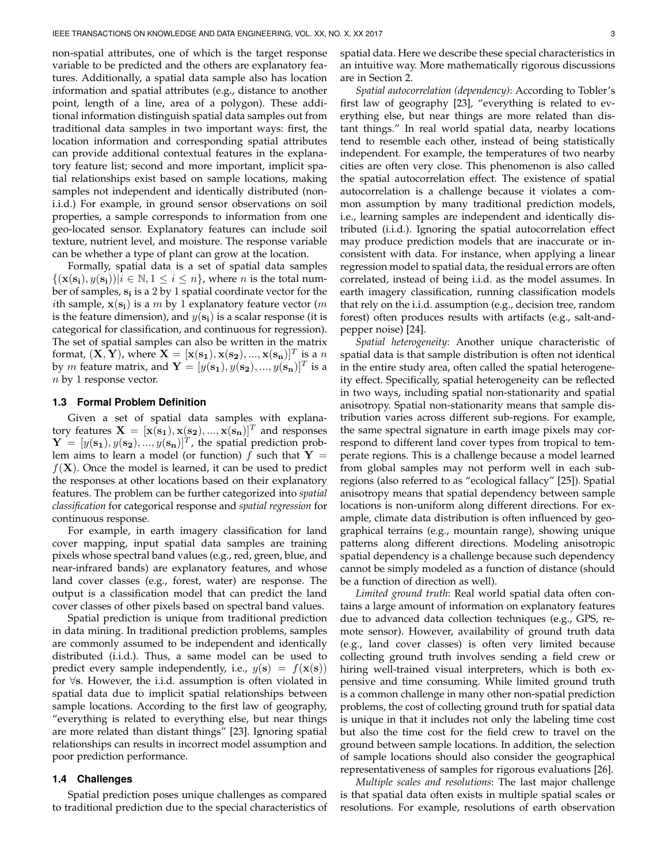non-spatial attributes, one of which is the target response variable to be predicted and the others are explanatory features. Additionally, a spatial data sample also has location information and spatial attributes (e.g., distance to another point, length of a line, area of a polygon). These additional information distinguish spatial data samples out from traditional data samples in two important ways: first, the location information and corresponding spatial attributes can provide additional contextual features in the explanatory feature list; second and more important, implicit spatial relationships exist based on sample locations, making samples not independent and identically distributed (noni.i.d.) For example, in ground sensor observations on soil properties, a sample corresponds to information from one geo-located sensor. Explanatory features can include soil texture, nutrient level, and moisture. The response variable can be whether a type of plant can grow at the location.

Formally, spatial data is a set of spatial data samples  $\{(\mathbf{x}(\mathbf{s_i}), y(\mathbf{s_i})) | i \in \mathbb{N}, 1 \le i \le n\}$ , where *n* is the total number of samples,  $s_i$  is a 2 by 1 spatial coordinate vector for the *i*th sample,  $\mathbf{x}(s_i)$  is a *m* by 1 explanatory feature vector (*m* is the feature dimension), and  $y(\mathbf{s_i})$  is a scalar response (it is categorical for classification, and continuous for regression). The set of spatial samples can also be written in the matrix format,  $(\mathbf{X}, \mathbf{Y})$ , where  $\mathbf{X} = [\mathbf{x}(\mathbf{s_1}), \mathbf{x}(\mathbf{s_2}), ..., \mathbf{x}(\mathbf{s_n})]^T$  is a  $n$ by  $m$  feature matrix, and  $\mathbf{Y} = [y(\mathbf{s_1}), y(\mathbf{s_2}), ..., y(\mathbf{s_n})]^T$  is a n by 1 response vector.

#### **1.3 Formal Problem Definition**

Given a set of spatial data samples with explanatory features  $\mathbf{X} = [\mathbf{x}(\mathbf{s_1}), \mathbf{x}(\mathbf{s_2}), ..., \mathbf{x}(\mathbf{s_n})]^T$  and responses  $\mathbf{Y} = [y(\mathbf{s_1}), y(\mathbf{s_2}), ..., y(\mathbf{s_n})]^T$ , the spatial prediction problem aims to learn a model (or function) f such that  $Y =$  $f(X)$ . Once the model is learned, it can be used to predict the responses at other locations based on their explanatory features. The problem can be further categorized into *spatial classification* for categorical response and *spatial regression* for continuous response.

For example, in earth imagery classification for land cover mapping, input spatial data samples are training pixels whose spectral band values (e.g., red, green, blue, and near-infrared bands) are explanatory features, and whose land cover classes (e.g., forest, water) are response. The output is a classification model that can predict the land cover classes of other pixels based on spectral band values.

Spatial prediction is unique from traditional prediction in data mining. In traditional prediction problems, samples are commonly assumed to be independent and identically distributed (i.i.d.). Thus, a same model can be used to predict every sample independently, i.e.,  $y(\mathbf{s}) = f(\mathbf{x}(\mathbf{s}))$ for ∀s. However, the i.i.d. assumption is often violated in spatial data due to implicit spatial relationships between sample locations. According to the first law of geography, "everything is related to everything else, but near things are more related than distant things" [23]. Ignoring spatial relationships can results in incorrect model assumption and poor prediction performance.

#### **1.4 Challenges**

Spatial prediction poses unique challenges as compared to traditional prediction due to the special characteristics of spatial data. Here we describe these special characteristics in an intuitive way. More mathematically rigorous discussions are in Section 2.

*Spatial autocorrelation (dependency)*: According to Tobler's first law of geography [23], "everything is related to everything else, but near things are more related than distant things." In real world spatial data, nearby locations tend to resemble each other, instead of being statistically independent. For example, the temperatures of two nearby cities are often very close. This phenomenon is also called the spatial autocorrelation effect. The existence of spatial autocorrelation is a challenge because it violates a common assumption by many traditional prediction models, i.e., learning samples are independent and identically distributed (i.i.d.). Ignoring the spatial autocorrelation effect may produce prediction models that are inaccurate or inconsistent with data. For instance, when applying a linear regression model to spatial data, the residual errors are often correlated, instead of being i.i.d. as the model assumes. In earth imagery classification, running classification models that rely on the i.i.d. assumption (e.g., decision tree, random forest) often produces results with artifacts (e.g., salt-andpepper noise) [24].

*Spatial heterogeneity*: Another unique characteristic of spatial data is that sample distribution is often not identical in the entire study area, often called the spatial heterogeneity effect. Specifically, spatial heterogeneity can be reflected in two ways, including spatial non-stationarity and spatial anisotropy. Spatial non-stationarity means that sample distribution varies across different sub-regions. For example, the same spectral signature in earth image pixels may correspond to different land cover types from tropical to temperate regions. This is a challenge because a model learned from global samples may not perform well in each subregions (also referred to as "ecological fallacy" [25]). Spatial anisotropy means that spatial dependency between sample locations is non-uniform along different directions. For example, climate data distribution is often influenced by geographical terrains (e.g., mountain range), showing unique patterns along different directions. Modeling anisotropic spatial dependency is a challenge because such dependency cannot be simply modeled as a function of distance (should be a function of direction as well).

*Limited ground truth*: Real world spatial data often contains a large amount of information on explanatory features due to advanced data collection techniques (e.g., GPS, remote sensor). However, availability of ground truth data (e.g., land cover classes) is often very limited because collecting ground truth involves sending a field crew or hiring well-trained visual interpreters, which is both expensive and time consuming. While limited ground truth is a common challenge in many other non-spatial prediction problems, the cost of collecting ground truth for spatial data is unique in that it includes not only the labeling time cost but also the time cost for the field crew to travel on the ground between sample locations. In addition, the selection of sample locations should also consider the geographical representativeness of samples for rigorous evaluations [26].

*Multiple scales and resolutions*: The last major challenge is that spatial data often exists in multiple spatial scales or resolutions. For example, resolutions of earth observation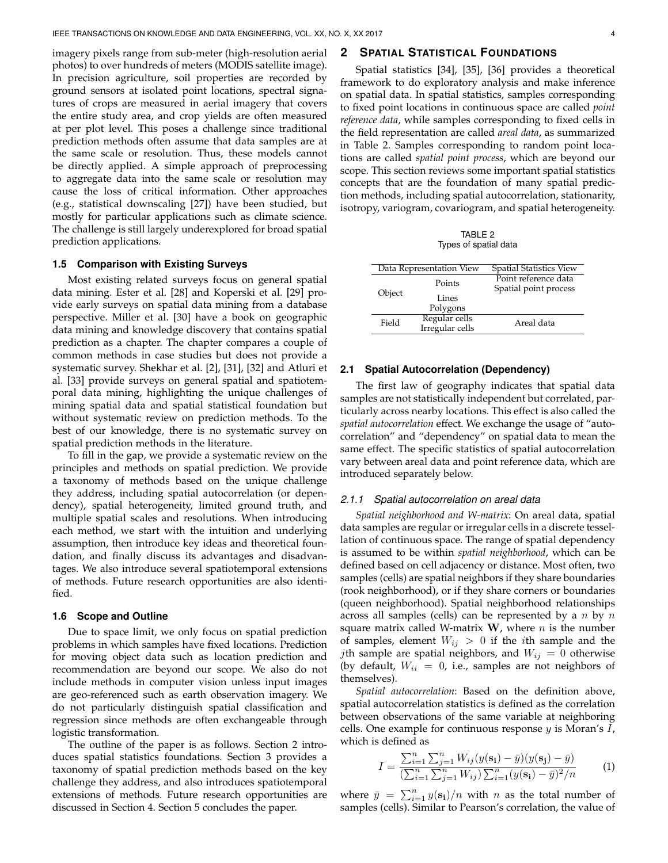imagery pixels range from sub-meter (high-resolution aerial photos) to over hundreds of meters (MODIS satellite image). In precision agriculture, soil properties are recorded by ground sensors at isolated point locations, spectral signatures of crops are measured in aerial imagery that covers the entire study area, and crop yields are often measured at per plot level. This poses a challenge since traditional prediction methods often assume that data samples are at the same scale or resolution. Thus, these models cannot be directly applied. A simple approach of preprocessing to aggregate data into the same scale or resolution may cause the loss of critical information. Other approaches (e.g., statistical downscaling [27]) have been studied, but mostly for particular applications such as climate science. The challenge is still largely underexplored for broad spatial prediction applications.

# **1.5 Comparison with Existing Surveys**

Most existing related surveys focus on general spatial data mining. Ester et al. [28] and Koperski et al. [29] provide early surveys on spatial data mining from a database perspective. Miller et al. [30] have a book on geographic data mining and knowledge discovery that contains spatial prediction as a chapter. The chapter compares a couple of common methods in case studies but does not provide a systematic survey. Shekhar et al. [2], [31], [32] and Atluri et al. [33] provide surveys on general spatial and spatiotemporal data mining, highlighting the unique challenges of mining spatial data and spatial statistical foundation but without systematic review on prediction methods. To the best of our knowledge, there is no systematic survey on spatial prediction methods in the literature.

To fill in the gap, we provide a systematic review on the principles and methods on spatial prediction. We provide a taxonomy of methods based on the unique challenge they address, including spatial autocorrelation (or dependency), spatial heterogeneity, limited ground truth, and multiple spatial scales and resolutions. When introducing each method, we start with the intuition and underlying assumption, then introduce key ideas and theoretical foundation, and finally discuss its advantages and disadvantages. We also introduce several spatiotemporal extensions of methods. Future research opportunities are also identified.

#### **1.6 Scope and Outline**

Due to space limit, we only focus on spatial prediction problems in which samples have fixed locations. Prediction for moving object data such as location prediction and recommendation are beyond our scope. We also do not include methods in computer vision unless input images are geo-referenced such as earth observation imagery. We do not particularly distinguish spatial classification and regression since methods are often exchangeable through logistic transformation.

The outline of the paper is as follows. Section 2 introduces spatial statistics foundations. Section 3 provides a taxonomy of spatial prediction methods based on the key challenge they address, and also introduces spatiotemporal extensions of methods. Future research opportunities are discussed in Section 4. Section 5 concludes the paper.

# **2 SPATIAL STATISTICAL FOUNDATIONS**

Spatial statistics [34], [35], [36] provides a theoretical framework to do exploratory analysis and make inference on spatial data. In spatial statistics, samples corresponding to fixed point locations in continuous space are called *point reference data*, while samples corresponding to fixed cells in the field representation are called *areal data*, as summarized in Table 2. Samples corresponding to random point locations are called *spatial point process*, which are beyond our scope. This section reviews some important spatial statistics concepts that are the foundation of many spatial prediction methods, including spatial autocorrelation, stationarity, isotropy, variogram, covariogram, and spatial heterogeneity.

TABLE 2 Types of spatial data

| Data Representation View |                 | <b>Spatial Statistics View</b> |  |
|--------------------------|-----------------|--------------------------------|--|
| Object                   | Points          | Point reference data           |  |
|                          |                 | Spatial point process          |  |
|                          | Lines           |                                |  |
|                          | Polygons        |                                |  |
| Field                    | Regular cells   | Areal data                     |  |
|                          | Irregular cells |                                |  |

#### **2.1 Spatial Autocorrelation (Dependency)**

The first law of geography indicates that spatial data samples are not statistically independent but correlated, particularly across nearby locations. This effect is also called the *spatial autocorrelation* effect. We exchange the usage of "autocorrelation" and "dependency" on spatial data to mean the same effect. The specific statistics of spatial autocorrelation vary between areal data and point reference data, which are introduced separately below.

#### *2.1.1 Spatial autocorrelation on areal data*

*Spatial neighborhood and W-matrix*: On areal data, spatial data samples are regular or irregular cells in a discrete tessellation of continuous space. The range of spatial dependency is assumed to be within *spatial neighborhood*, which can be defined based on cell adjacency or distance. Most often, two samples (cells) are spatial neighbors if they share boundaries (rook neighborhood), or if they share corners or boundaries (queen neighborhood). Spatial neighborhood relationships across all samples (cells) can be represented by a  $n$  by  $n$ square matrix called W-matrix  $W$ , where  $n$  is the number of samples, element  $W_{ij} > 0$  if the *i*th sample and the *j*th sample are spatial neighbors, and  $W_{ij} = 0$  otherwise (by default,  $W_{ii} = 0$ , i.e., samples are not neighbors of themselves).

*Spatial autocorrelation*: Based on the definition above, spatial autocorrelation statistics is defined as the correlation between observations of the same variable at neighboring cells. One example for continuous response  $y$  is Moran's  $I$ , which is defined as

$$
I = \frac{\sum_{i=1}^{n} \sum_{j=1}^{n} W_{ij}(y(\mathbf{s}_i) - \bar{y})(y(\mathbf{s}_j) - \bar{y})}{(\sum_{i=1}^{n} \sum_{j=1}^{n} W_{ij}) \sum_{i=1}^{n} (y(\mathbf{s}_i) - \bar{y})^2/n}
$$
(1)

where  $\bar{y} = \sum_{i=1}^{n} y(\mathbf{s_i})/n$  with n as the total number of samples (cells). Similar to Pearson's correlation, the value of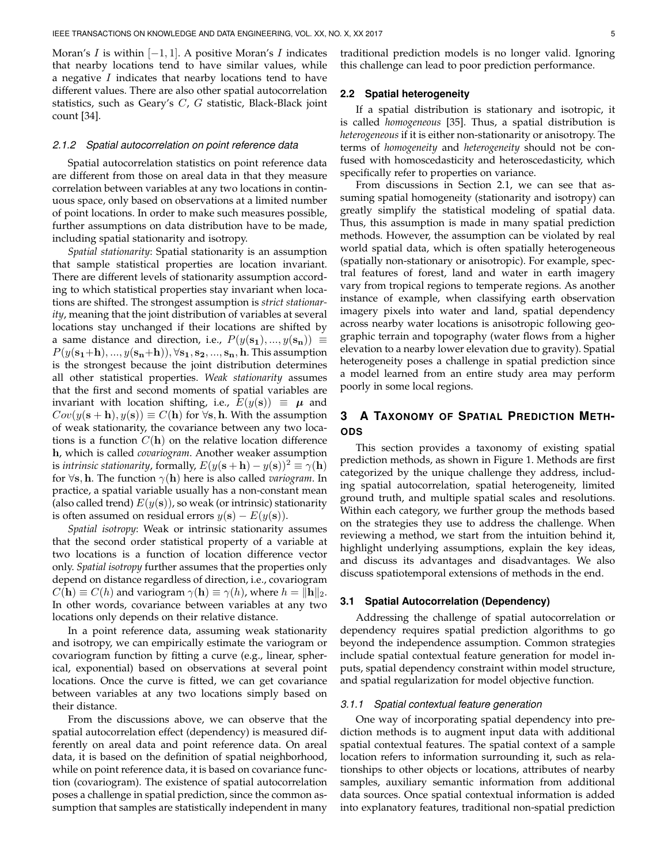Moran's I is within  $[-1, 1]$ . A positive Moran's I indicates that nearby locations tend to have similar values, while a negative  $I$  indicates that nearby locations tend to have different values. There are also other spatial autocorrelation statistics, such as Geary's C, G statistic, Black-Black joint count [34].

#### *2.1.2 Spatial autocorrelation on point reference data*

Spatial autocorrelation statistics on point reference data are different from those on areal data in that they measure correlation between variables at any two locations in continuous space, only based on observations at a limited number of point locations. In order to make such measures possible, further assumptions on data distribution have to be made, including spatial stationarity and isotropy.

*Spatial stationarity*: Spatial stationarity is an assumption that sample statistical properties are location invariant. There are different levels of stationarity assumption according to which statistical properties stay invariant when locations are shifted. The strongest assumption is *strict stationarity*, meaning that the joint distribution of variables at several locations stay unchanged if their locations are shifted by a same distance and direction, i.e.,  $P(y(\mathbf{s_1}), ..., y(\mathbf{s_n})) \equiv$  $P(y(\mathbf{s_1}+\mathbf{h}), ..., y(\mathbf{s_n}+\mathbf{h})), \forall \mathbf{s_1}, \mathbf{s_2}, ..., \mathbf{s_n}, \mathbf{h}$ . This assumption is the strongest because the joint distribution determines all other statistical properties. *Weak stationarity* assumes that the first and second moments of spatial variables are invariant with location shifting, i.e.,  $E(y(s)) \equiv \mu$  and  $Cov(y(\mathbf{s} + \mathbf{h}), y(\mathbf{s})) \equiv C(\mathbf{h})$  for  $\forall \mathbf{s}, \mathbf{h}$ . With the assumption of weak stationarity, the covariance between any two locations is a function  $C(\bf{h})$  on the relative location difference h, which is called *covariogram*. Another weaker assumption is *intrinsic stationarity*, formally,  $E(y(\mathbf{s} + \mathbf{h}) - y(\mathbf{s}))^2 \equiv \gamma(\mathbf{h})$ for  $\forall$ s, **h**. The function  $\gamma$ (**h**) here is also called *variogram*. In practice, a spatial variable usually has a non-constant mean (also called trend)  $E(y(s))$ , so weak (or intrinsic) stationarity is often assumed on residual errors  $y(\mathbf{s}) - E(y(\mathbf{s}))$ .

*Spatial isotropy*: Weak or intrinsic stationarity assumes that the second order statistical property of a variable at two locations is a function of location difference vector only. *Spatial isotropy* further assumes that the properties only depend on distance regardless of direction, i.e., covariogram  $C(\mathbf{h}) \equiv C(h)$  and variogram  $\gamma(\mathbf{h}) \equiv \gamma(h)$ , where  $h = \|\mathbf{h}\|_2$ . In other words, covariance between variables at any two locations only depends on their relative distance.

In a point reference data, assuming weak stationarity and isotropy, we can empirically estimate the variogram or covariogram function by fitting a curve (e.g., linear, spherical, exponential) based on observations at several point locations. Once the curve is fitted, we can get covariance between variables at any two locations simply based on their distance.

From the discussions above, we can observe that the spatial autocorrelation effect (dependency) is measured differently on areal data and point reference data. On areal data, it is based on the definition of spatial neighborhood, while on point reference data, it is based on covariance function (covariogram). The existence of spatial autocorrelation poses a challenge in spatial prediction, since the common assumption that samples are statistically independent in many

traditional prediction models is no longer valid. Ignoring this challenge can lead to poor prediction performance.

#### **2.2 Spatial heterogeneity**

If a spatial distribution is stationary and isotropic, it is called *homogeneous* [35]. Thus, a spatial distribution is *heterogeneous* if it is either non-stationarity or anisotropy. The terms of *homogeneity* and *heterogeneity* should not be confused with homoscedasticity and heteroscedasticity, which specifically refer to properties on variance.

From discussions in Section 2.1, we can see that assuming spatial homogeneity (stationarity and isotropy) can greatly simplify the statistical modeling of spatial data. Thus, this assumption is made in many spatial prediction methods. However, the assumption can be violated by real world spatial data, which is often spatially heterogeneous (spatially non-stationary or anisotropic). For example, spectral features of forest, land and water in earth imagery vary from tropical regions to temperate regions. As another instance of example, when classifying earth observation imagery pixels into water and land, spatial dependency across nearby water locations is anisotropic following geographic terrain and topography (water flows from a higher elevation to a nearby lower elevation due to gravity). Spatial heterogeneity poses a challenge in spatial prediction since a model learned from an entire study area may perform poorly in some local regions.

# **3 A TAXONOMY OF SPATIAL PREDICTION METH-ODS**

This section provides a taxonomy of existing spatial prediction methods, as shown in Figure 1. Methods are first categorized by the unique challenge they address, including spatial autocorrelation, spatial heterogeneity, limited ground truth, and multiple spatial scales and resolutions. Within each category, we further group the methods based on the strategies they use to address the challenge. When reviewing a method, we start from the intuition behind it, highlight underlying assumptions, explain the key ideas, and discuss its advantages and disadvantages. We also discuss spatiotemporal extensions of methods in the end.

#### **3.1 Spatial Autocorrelation (Dependency)**

Addressing the challenge of spatial autocorrelation or dependency requires spatial prediction algorithms to go beyond the independence assumption. Common strategies include spatial contextual feature generation for model inputs, spatial dependency constraint within model structure, and spatial regularization for model objective function.

#### *3.1.1 Spatial contextual feature generation*

One way of incorporating spatial dependency into prediction methods is to augment input data with additional spatial contextual features. The spatial context of a sample location refers to information surrounding it, such as relationships to other objects or locations, attributes of nearby samples, auxiliary semantic information from additional data sources. Once spatial contextual information is added into explanatory features, traditional non-spatial prediction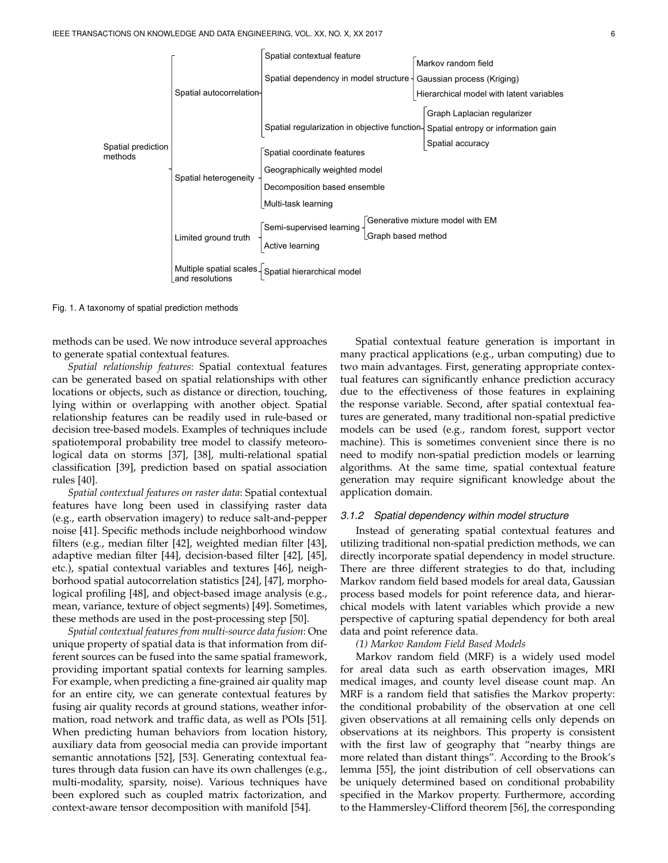

Fig. 1. A taxonomy of spatial prediction methods

methods can be used. We now introduce several approaches to generate spatial contextual features.

*Spatial relationship features*: Spatial contextual features can be generated based on spatial relationships with other locations or objects, such as distance or direction, touching, lying within or overlapping with another object. Spatial relationship features can be readily used in rule-based or decision tree-based models. Examples of techniques include spatiotemporal probability tree model to classify meteorological data on storms [37], [38], multi-relational spatial classification [39], prediction based on spatial association rules [40].

*Spatial contextual features on raster data*: Spatial contextual features have long been used in classifying raster data (e.g., earth observation imagery) to reduce salt-and-pepper noise [41]. Specific methods include neighborhood window filters (e.g., median filter [42], weighted median filter [43], adaptive median filter [44], decision-based filter [42], [45], etc.), spatial contextual variables and textures [46], neighborhood spatial autocorrelation statistics [24], [47], morphological profiling [48], and object-based image analysis (e.g., mean, variance, texture of object segments) [49]. Sometimes, these methods are used in the post-processing step [50].

*Spatial contextual features from multi-source data fusion*: One unique property of spatial data is that information from different sources can be fused into the same spatial framework, providing important spatial contexts for learning samples. For example, when predicting a fine-grained air quality map for an entire city, we can generate contextual features by fusing air quality records at ground stations, weather information, road network and traffic data, as well as POIs [51]. When predicting human behaviors from location history, auxiliary data from geosocial media can provide important semantic annotations [52], [53]. Generating contextual features through data fusion can have its own challenges (e.g., multi-modality, sparsity, noise). Various techniques have been explored such as coupled matrix factorization, and context-aware tensor decomposition with manifold [54].

Spatial contextual feature generation is important in many practical applications (e.g., urban computing) due to two main advantages. First, generating appropriate contextual features can significantly enhance prediction accuracy due to the effectiveness of those features in explaining the response variable. Second, after spatial contextual features are generated, many traditional non-spatial predictive models can be used (e.g., random forest, support vector machine). This is sometimes convenient since there is no need to modify non-spatial prediction models or learning algorithms. At the same time, spatial contextual feature generation may require significant knowledge about the application domain.

#### *3.1.2 Spatial dependency within model structure*

Instead of generating spatial contextual features and utilizing traditional non-spatial prediction methods, we can directly incorporate spatial dependency in model structure. There are three different strategies to do that, including Markov random field based models for areal data, Gaussian process based models for point reference data, and hierarchical models with latent variables which provide a new perspective of capturing spatial dependency for both areal data and point reference data.

*(1) Markov Random Field Based Models*

Markov random field (MRF) is a widely used model for areal data such as earth observation images, MRI medical images, and county level disease count map. An MRF is a random field that satisfies the Markov property: the conditional probability of the observation at one cell given observations at all remaining cells only depends on observations at its neighbors. This property is consistent with the first law of geography that "nearby things are more related than distant things". According to the Brook's lemma [55], the joint distribution of cell observations can be uniquely determined based on conditional probability specified in the Markov property. Furthermore, according to the Hammersley-Clifford theorem [56], the corresponding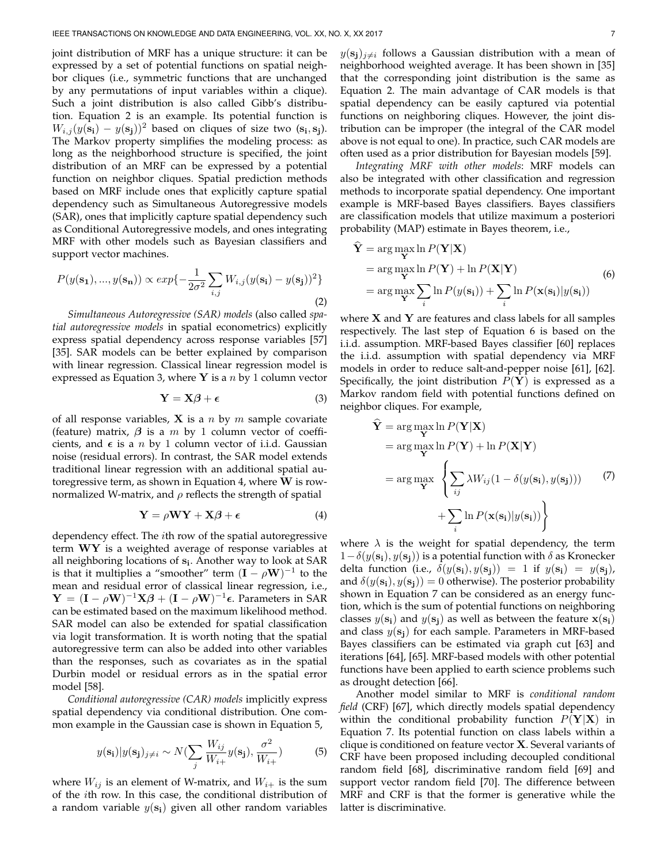joint distribution of MRF has a unique structure: it can be expressed by a set of potential functions on spatial neighbor cliques (i.e., symmetric functions that are unchanged by any permutations of input variables within a clique). Such a joint distribution is also called Gibb's distribution. Equation 2 is an example. Its potential function is  $W_{i,j}(y(\mathbf{s_i}) - y(\mathbf{s_j}))^2$  based on cliques of size two  $(\mathbf{s_i}, \mathbf{s_j})$ . The Markov property simplifies the modeling process: as long as the neighborhood structure is specified, the joint distribution of an MRF can be expressed by a potential function on neighbor cliques. Spatial prediction methods based on MRF include ones that explicitly capture spatial dependency such as Simultaneous Autoregressive models (SAR), ones that implicitly capture spatial dependency such as Conditional Autoregressive models, and ones integrating MRF with other models such as Bayesian classifiers and support vector machines.

$$
P(y(\mathbf{s_1}), ..., y(\mathbf{s_n})) \propto exp\{-\frac{1}{2\sigma^2} \sum_{i,j} W_{i,j}(y(\mathbf{s_i}) - y(\mathbf{s_j}))^2\}
$$
\n(2)

*Simultaneous Autoregressive (SAR) models* (also called *spatial autoregressive models* in spatial econometrics) explicitly express spatial dependency across response variables [57] [35]. SAR models can be better explained by comparison with linear regression. Classical linear regression model is expressed as Equation 3, where **Y** is a  $n$  by 1 column vector

$$
Y = X\beta + \epsilon \tag{3}
$$

of all response variables, **X** is a *n* by *m* sample covariate (feature) matrix,  $\beta$  is a m by 1 column vector of coefficients, and  $\epsilon$  is a n by 1 column vector of i.i.d. Gaussian noise (residual errors). In contrast, the SAR model extends traditional linear regression with an additional spatial autoregressive term, as shown in Equation 4, where W is rownormalized W-matrix, and  $\rho$  reflects the strength of spatial

$$
Y = \rho WY + X\beta + \epsilon \tag{4}
$$

dependency effect. The ith row of the spatial autoregressive term WY is a weighted average of response variables at all neighboring locations of  $s_i$ . Another way to look at SAR is that it multiplies a "smoother" term  $(I - \rho W)^{-1}$  to the mean and residual error of classical linear regression, i.e.,  $\mathbf{Y} = (\mathbf{I} - \rho \mathbf{W})^{-1} \mathbf{X} \boldsymbol{\beta} + (\mathbf{I} - \rho \mathbf{W})^{-1} \boldsymbol{\epsilon}$ . Parameters in SAR can be estimated based on the maximum likelihood method. SAR model can also be extended for spatial classification via logit transformation. It is worth noting that the spatial autoregressive term can also be added into other variables than the responses, such as covariates as in the spatial Durbin model or residual errors as in the spatial error model [58].

*Conditional autoregressive (CAR) models* implicitly express spatial dependency via conditional distribution. One common example in the Gaussian case is shown in Equation 5,

$$
y(\mathbf{s_i})|y(\mathbf{s_j})_{j\neq i} \sim N(\sum_j \frac{W_{ij}}{W_{i+}} y(\mathbf{s_j}), \frac{\sigma^2}{W_{i+}})
$$
(5)

where  $W_{ij}$  is an element of W-matrix, and  $W_{i+}$  is the sum of the ith row. In this case, the conditional distribution of a random variable  $y(\mathbf{s_i})$  given all other random variables

 $y(\mathbf{s}_i)_{i\neq i}$  follows a Gaussian distribution with a mean of neighborhood weighted average. It has been shown in [35] that the corresponding joint distribution is the same as Equation 2. The main advantage of CAR models is that spatial dependency can be easily captured via potential functions on neighboring cliques. However, the joint distribution can be improper (the integral of the CAR model above is not equal to one). In practice, such CAR models are often used as a prior distribution for Bayesian models [59].

*Integrating MRF with other models*: MRF models can also be integrated with other classification and regression methods to incorporate spatial dependency. One important example is MRF-based Bayes classifiers. Bayes classifiers are classification models that utilize maximum a posteriori probability (MAP) estimate in Bayes theorem, i.e.,

$$
\mathbf{Y} = \arg\max_{\mathbf{Y}} \ln P(\mathbf{Y}|\mathbf{X})
$$
  
=  $\arg\max_{\mathbf{Y}} \ln P(\mathbf{Y}) + \ln P(\mathbf{X}|\mathbf{Y})$  (6)  
=  $\arg\max_{\mathbf{Y}} \sum_{i} \ln P(y(\mathbf{s}_i)) + \sum_{i} \ln P(\mathbf{x}(\mathbf{s}_i)|y(\mathbf{s}_i))$ 

where  $X$  and  $Y$  are features and class labels for all samples respectively. The last step of Equation 6 is based on the i.i.d. assumption. MRF-based Bayes classifier [60] replaces the i.i.d. assumption with spatial dependency via MRF models in order to reduce salt-and-pepper noise [61], [62]. Specifically, the joint distribution  $P(Y)$  is expressed as a Markov random field with potential functions defined on neighbor cliques. For example,

$$
\hat{\mathbf{Y}} = \arg \max_{\mathbf{Y}} \ln P(\mathbf{Y} | \mathbf{X})
$$
  
= 
$$
\arg \max_{\mathbf{Y}} \ln P(\mathbf{Y}) + \ln P(\mathbf{X} | \mathbf{Y})
$$
  
= 
$$
\arg \max_{\mathbf{Y}} \left\{ \sum_{ij} \lambda W_{ij} (1 - \delta(y(\mathbf{s}_i), y(\mathbf{s}_j))) \right\}
$$
(7)  
+ 
$$
\sum_{i} \ln P(\mathbf{x}(\mathbf{s}_i) | y(\mathbf{s}_i)) \right\}
$$

where  $\lambda$  is the weight for spatial dependency, the term  $1-\delta(y(\mathbf{s_i}), y(\mathbf{s_j}))$  is a potential function with  $\delta$  as Kronecker delta function (i.e.,  $\delta(y(\mathbf{s_i}), y(\mathbf{s_j})) = 1$  if  $y(\mathbf{s_i}) = y(\mathbf{s_j})$ , and  $\delta(y(\mathbf{s_i}), y(\mathbf{s_j})) = 0$  otherwise). The posterior probability shown in Equation 7 can be considered as an energy function, which is the sum of potential functions on neighboring classes  $y(\mathbf{s_i})$  and  $y(\mathbf{s_j})$  as well as between the feature  $\mathbf{x}(\mathbf{s_i})$ and class  $y(\mathbf{s_i})$  for each sample. Parameters in MRF-based Bayes classifiers can be estimated via graph cut [63] and iterations [64], [65]. MRF-based models with other potential functions have been applied to earth science problems such as drought detection [66].

Another model similar to MRF is *conditional random field* (CRF) [67], which directly models spatial dependency within the conditional probability function  $P(Y|X)$  in Equation 7. Its potential function on class labels within a clique is conditioned on feature vector  $X$ . Several variants of CRF have been proposed including decoupled conditional random field [68], discriminative random field [69] and support vector random field [70]. The difference between MRF and CRF is that the former is generative while the latter is discriminative.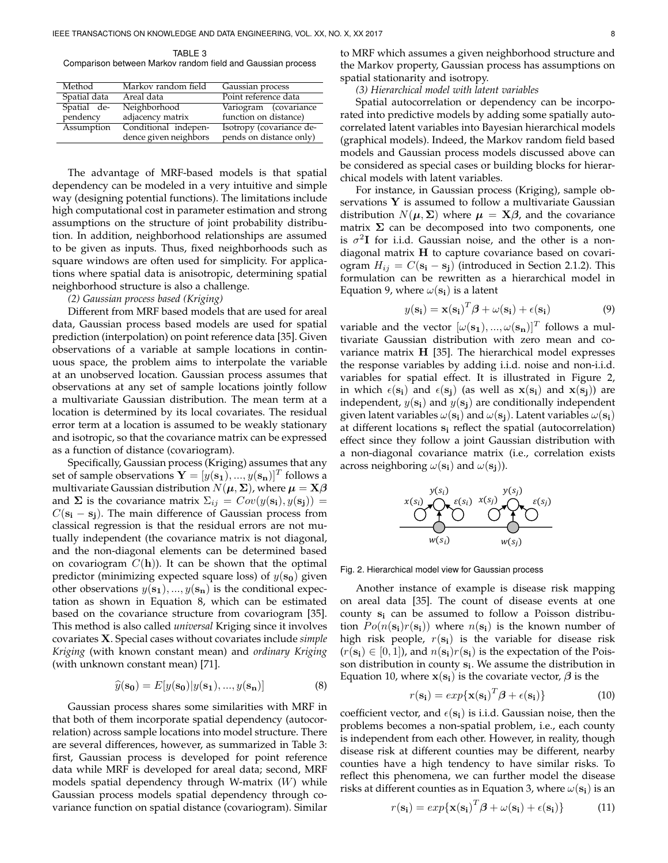TABLE 3 Comparison between Markov random field and Gaussian process

| Method       | Markov random field   | Gaussian process         |
|--------------|-----------------------|--------------------------|
| Spatial data | Areal data            | Point reference data     |
| Spatial de-  | Neighborhood          | Variogram (covariance    |
| pendency     | adjacency matrix      | function on distance)    |
| Assumption   | Conditional indepen-  | Isotropy (covariance de- |
|              | dence given neighbors | pends on distance only)  |

The advantage of MRF-based models is that spatial dependency can be modeled in a very intuitive and simple way (designing potential functions). The limitations include high computational cost in parameter estimation and strong assumptions on the structure of joint probability distribution. In addition, neighborhood relationships are assumed to be given as inputs. Thus, fixed neighborhoods such as square windows are often used for simplicity. For applications where spatial data is anisotropic, determining spatial neighborhood structure is also a challenge.

### *(2) Gaussian process based (Kriging)*

Different from MRF based models that are used for areal data, Gaussian process based models are used for spatial prediction (interpolation) on point reference data [35]. Given observations of a variable at sample locations in continuous space, the problem aims to interpolate the variable at an unobserved location. Gaussian process assumes that observations at any set of sample locations jointly follow a multivariate Gaussian distribution. The mean term at a location is determined by its local covariates. The residual error term at a location is assumed to be weakly stationary and isotropic, so that the covariance matrix can be expressed as a function of distance (covariogram).

Specifically, Gaussian process (Kriging) assumes that any set of sample observations  $\mathbf{Y} = [y(\mathbf{s_1}), ..., y(\mathbf{s_n})]^T$  follows a multivariate Gaussian distribution  $N(\mu, \Sigma)$ , where  $\mu = X\beta$ and  $\Sigma$  is the covariance matrix  $\Sigma_{ij} = Cov(y(\mathbf{s_i}), y(\mathbf{s_j})) =$  $C(\mathbf{s_i}-\mathbf{s_j})$ . The main difference of Gaussian process from classical regression is that the residual errors are not mutually independent (the covariance matrix is not diagonal, and the non-diagonal elements can be determined based on covariogram  $C(\bf{h})$ ). It can be shown that the optimal predictor (minimizing expected square loss) of  $y(\mathbf{s_0})$  given other observations  $y(\mathbf{s_1}), ..., y(\mathbf{s_n})$  is the conditional expectation as shown in Equation 8, which can be estimated based on the covariance structure from covariogram [35]. This method is also called *universal* Kriging since it involves covariates X. Special cases without covariates include *simple Kriging* (with known constant mean) and *ordinary Kriging* (with unknown constant mean) [71].

$$
\widehat{y}(\mathbf{s_0}) = E[y(\mathbf{s_0})|y(\mathbf{s_1}), ..., y(\mathbf{s_n})]
$$
\n(8)

Gaussian process shares some similarities with MRF in that both of them incorporate spatial dependency (autocorrelation) across sample locations into model structure. There are several differences, however, as summarized in Table 3: first, Gaussian process is developed for point reference data while MRF is developed for areal data; second, MRF models spatial dependency through W-matrix  $(W)$  while Gaussian process models spatial dependency through covariance function on spatial distance (covariogram). Similar to MRF which assumes a given neighborhood structure and the Markov property, Gaussian process has assumptions on spatial stationarity and isotropy.

#### *(3) Hierarchical model with latent variables*

Spatial autocorrelation or dependency can be incorporated into predictive models by adding some spatially autocorrelated latent variables into Bayesian hierarchical models (graphical models). Indeed, the Markov random field based models and Gaussian process models discussed above can be considered as special cases or building blocks for hierarchical models with latent variables.

For instance, in Gaussian process (Kriging), sample observations  $Y$  is assumed to follow a multivariate Gaussian distribution  $N(\mu, \Sigma)$  where  $\mu = X\beta$ , and the covariance matrix  $\Sigma$  can be decomposed into two components, one is  $\sigma^2 I$  for i.i.d. Gaussian noise, and the other is a nondiagonal matrix  $H$  to capture covariance based on covariogram  $H_{ij} = C(\mathbf{s_i} - \mathbf{s_j})$  (introduced in Section 2.1.2). This formulation can be rewritten as a hierarchical model in Equation 9, where  $\omega(\mathbf{s_i})$  is a latent

$$
y(\mathbf{s_i}) = \mathbf{x}(\mathbf{s_i})^T \boldsymbol{\beta} + \omega(\mathbf{s_i}) + \epsilon(\mathbf{s_i})
$$
\n(9)

variable and the vector  $[\omega(\mathbf{s_1}),...,\omega(\mathbf{s_n})]^T$  follows a multivariate Gaussian distribution with zero mean and covariance matrix  $H$  [35]. The hierarchical model expresses the response variables by adding i.i.d. noise and non-i.i.d. variables for spatial effect. It is illustrated in Figure 2, in which  $\epsilon(s_i)$  and  $\epsilon(s_i)$  (as well as  $x(s_i)$  and  $x(s_i)$ ) are independent,  $y(\mathbf{s_i})$  and  $y(\mathbf{s_i})$  are conditionally independent given latent variables  $\omega(\mathbf{s_i})$  and  $\omega(\mathbf{s_i})$ . Latent variables  $\omega(\mathbf{s_i})$ at different locations  $s_i$  reflect the spatial (autocorrelation) effect since they follow a joint Gaussian distribution with a non-diagonal covariance matrix (i.e., correlation exists across neighboring  $\omega(\mathbf{s_i})$  and  $\omega(\mathbf{s_j})$ ).



Fig. 2. Hierarchical model view for Gaussian process

Another instance of example is disease risk mapping on areal data [35]. The count of disease events at one county  $s_i$  can be assumed to follow a Poisson distribution  $Po(n(\mathbf{s_i})r(\mathbf{s_i}))$  where  $n(\mathbf{s_i})$  is the known number of high risk people,  $r(s_i)$  is the variable for disease risk  $(r(\mathbf{s_i}) \in [0,1])$ , and  $n(\mathbf{s_i})r(\mathbf{s_i})$  is the expectation of the Poisson distribution in county  $s_i$ . We assume the distribution in Equation 10, where  $\mathbf{x}(s_i)$  is the covariate vector,  $\beta$  is the

$$
r(\mathbf{s_i}) = exp{\{\mathbf{x}(\mathbf{s_i})^T \boldsymbol{\beta} + \epsilon(\mathbf{s_i})\}}
$$
(10)

coefficient vector, and  $\epsilon(\mathbf{s_i})$  is i.i.d. Gaussian noise, then the problems becomes a non-spatial problem, i.e., each county is independent from each other. However, in reality, though disease risk at different counties may be different, nearby counties have a high tendency to have similar risks. To reflect this phenomena, we can further model the disease risks at different counties as in Equation 3, where  $\omega(\mathbf{s_i})$  is an

$$
r(\mathbf{s_i}) = exp{\{\mathbf{x}(\mathbf{s_i})^T \boldsymbol{\beta} + \omega(\mathbf{s_i}) + \epsilon(\mathbf{s_i})\}}
$$
(11)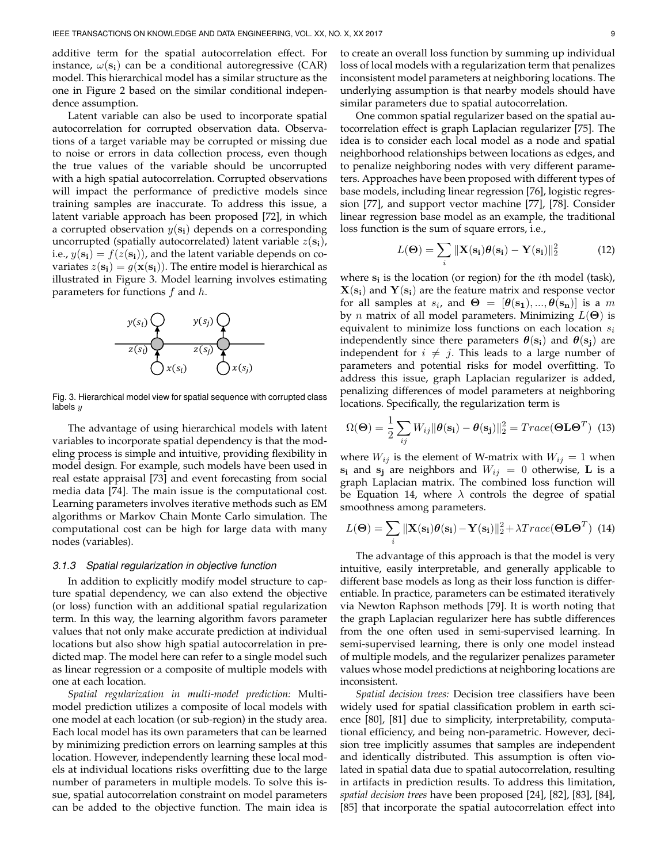additive term for the spatial autocorrelation effect. For instance,  $\omega(\mathbf{s_i})$  can be a conditional autoregressive (CAR) model. This hierarchical model has a similar structure as the one in Figure 2 based on the similar conditional independence assumption.

Latent variable can also be used to incorporate spatial autocorrelation for corrupted observation data. Observations of a target variable may be corrupted or missing due to noise or errors in data collection process, even though the true values of the variable should be uncorrupted with a high spatial autocorrelation. Corrupted observations will impact the performance of predictive models since training samples are inaccurate. To address this issue, a latent variable approach has been proposed [72], in which a corrupted observation  $y(\mathbf{s_i})$  depends on a corresponding uncorrupted (spatially autocorrelated) latent variable  $z(\mathbf{s_i})$ , i.e.,  $y(\mathbf{s_i}) = f(z(\mathbf{s_i}))$ , and the latent variable depends on covariates  $z(\mathbf{s_i}) = g(\mathbf{x}(\mathbf{s_i}))$ . The entire model is hierarchical as illustrated in Figure 3. Model learning involves estimating parameters for functions  $f$  and  $h$ .



Fig. 3. Hierarchical model view for spatial sequence with corrupted class labels  $u$ 

The advantage of using hierarchical models with latent variables to incorporate spatial dependency is that the modeling process is simple and intuitive, providing flexibility in model design. For example, such models have been used in real estate appraisal [73] and event forecasting from social media data [74]. The main issue is the computational cost. Learning parameters involves iterative methods such as EM algorithms or Markov Chain Monte Carlo simulation. The computational cost can be high for large data with many nodes (variables).

#### *3.1.3 Spatial regularization in objective function*

In addition to explicitly modify model structure to capture spatial dependency, we can also extend the objective (or loss) function with an additional spatial regularization term. In this way, the learning algorithm favors parameter values that not only make accurate prediction at individual locations but also show high spatial autocorrelation in predicted map. The model here can refer to a single model such as linear regression or a composite of multiple models with one at each location.

*Spatial regularization in multi-model prediction:* Multimodel prediction utilizes a composite of local models with one model at each location (or sub-region) in the study area. Each local model has its own parameters that can be learned by minimizing prediction errors on learning samples at this location. However, independently learning these local models at individual locations risks overfitting due to the large number of parameters in multiple models. To solve this issue, spatial autocorrelation constraint on model parameters can be added to the objective function. The main idea is to create an overall loss function by summing up individual loss of local models with a regularization term that penalizes inconsistent model parameters at neighboring locations. The underlying assumption is that nearby models should have similar parameters due to spatial autocorrelation.

One common spatial regularizer based on the spatial autocorrelation effect is graph Laplacian regularizer [75]. The idea is to consider each local model as a node and spatial neighborhood relationships between locations as edges, and to penalize neighboring nodes with very different parameters. Approaches have been proposed with different types of base models, including linear regression [76], logistic regression [77], and support vector machine [77], [78]. Consider linear regression base model as an example, the traditional loss function is the sum of square errors, i.e.,

$$
L(\Theta) = \sum_{i} \|\mathbf{X}(\mathbf{s_i})\theta(\mathbf{s_i}) - \mathbf{Y}(\mathbf{s_i})\|_2^2 \tag{12}
$$

where  $s_i$  is the location (or region) for the *i*th model (task),  $X(s_i)$  and  $Y(s_i)$  are the feature matrix and response vector for all samples at  $s_i$ , and  $\mathbf{\Theta} = [\theta(\mathbf{s_1}),...,\theta(\mathbf{s_n})]$  is a  $m$ by *n* matrix of all model parameters. Minimizing  $L(\Theta)$  is equivalent to minimize loss functions on each location  $s_i$ independently since there parameters  $\theta(s_i)$  and  $\theta(s_j)$  are independent for  $i \neq j$ . This leads to a large number of parameters and potential risks for model overfitting. To address this issue, graph Laplacian regularizer is added, penalizing differences of model parameters at neighboring locations. Specifically, the regularization term is

$$
\Omega(\mathbf{\Theta}) = \frac{1}{2} \sum_{ij} W_{ij} ||\boldsymbol{\theta}(\mathbf{s_i}) - \boldsymbol{\theta}(\mathbf{s_j})||_2^2 = Trace(\mathbf{\Theta} \mathbf{L} \mathbf{\Theta}^T) \tag{13}
$$

where  $W_{ij}$  is the element of W-matrix with  $W_{ij} = 1$  when  $s_i$  and  $s_j$  are neighbors and  $W_{ij} = 0$  otherwise, **L** is a graph Laplacian matrix. The combined loss function will be Equation 14, where  $\lambda$  controls the degree of spatial smoothness among parameters.

$$
L(\mathbf{\Theta}) = \sum_{i} ||\mathbf{X}(\mathbf{s_i})\boldsymbol{\theta}(\mathbf{s_i}) - \mathbf{Y}(\mathbf{s_i})||_2^2 + \lambda Trace(\mathbf{\Theta} \mathbf{L} \mathbf{\Theta}^T) \tag{14}
$$

The advantage of this approach is that the model is very intuitive, easily interpretable, and generally applicable to different base models as long as their loss function is differentiable. In practice, parameters can be estimated iteratively via Newton Raphson methods [79]. It is worth noting that the graph Laplacian regularizer here has subtle differences from the one often used in semi-supervised learning. In semi-supervised learning, there is only one model instead of multiple models, and the regularizer penalizes parameter values whose model predictions at neighboring locations are inconsistent.

*Spatial decision trees:* Decision tree classifiers have been widely used for spatial classification problem in earth science [80], [81] due to simplicity, interpretability, computational efficiency, and being non-parametric. However, decision tree implicitly assumes that samples are independent and identically distributed. This assumption is often violated in spatial data due to spatial autocorrelation, resulting in artifacts in prediction results. To address this limitation, *spatial decision trees* have been proposed [24], [82], [83], [84], [85] that incorporate the spatial autocorrelation effect into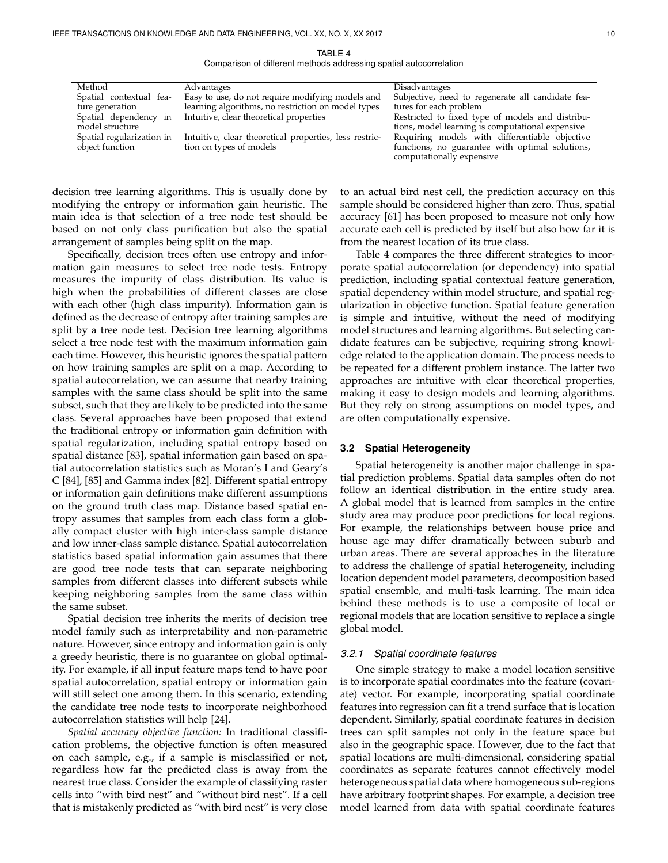TABLE 4 Comparison of different methods addressing spatial autocorrelation

| Method                    | Advantages                                             | <b>Disadvantages</b>                              |
|---------------------------|--------------------------------------------------------|---------------------------------------------------|
| Spatial contextual fea-   | Easy to use, do not require modifying models and       | Subjective, need to regenerate all candidate fea- |
| ture generation           | learning algorithms, no restriction on model types     | tures for each problem                            |
| Spatial dependency in     | Intuitive, clear theoretical properties                | Restricted to fixed type of models and distribu-  |
| model structure           |                                                        | tions, model learning is computational expensive  |
| Spatial regularization in | Intuitive, clear theoretical properties, less restric- | Requiring models with differentiable objective    |
| object function           | tion on types of models                                | functions, no guarantee with optimal solutions,   |
|                           |                                                        | computationally expensive                         |

decision tree learning algorithms. This is usually done by modifying the entropy or information gain heuristic. The main idea is that selection of a tree node test should be based on not only class purification but also the spatial arrangement of samples being split on the map.

Specifically, decision trees often use entropy and information gain measures to select tree node tests. Entropy measures the impurity of class distribution. Its value is high when the probabilities of different classes are close with each other (high class impurity). Information gain is defined as the decrease of entropy after training samples are split by a tree node test. Decision tree learning algorithms select a tree node test with the maximum information gain each time. However, this heuristic ignores the spatial pattern on how training samples are split on a map. According to spatial autocorrelation, we can assume that nearby training samples with the same class should be split into the same subset, such that they are likely to be predicted into the same class. Several approaches have been proposed that extend the traditional entropy or information gain definition with spatial regularization, including spatial entropy based on spatial distance [83], spatial information gain based on spatial autocorrelation statistics such as Moran's I and Geary's C [84], [85] and Gamma index [82]. Different spatial entropy or information gain definitions make different assumptions on the ground truth class map. Distance based spatial entropy assumes that samples from each class form a globally compact cluster with high inter-class sample distance and low inner-class sample distance. Spatial autocorrelation statistics based spatial information gain assumes that there are good tree node tests that can separate neighboring samples from different classes into different subsets while keeping neighboring samples from the same class within the same subset.

Spatial decision tree inherits the merits of decision tree model family such as interpretability and non-parametric nature. However, since entropy and information gain is only a greedy heuristic, there is no guarantee on global optimality. For example, if all input feature maps tend to have poor spatial autocorrelation, spatial entropy or information gain will still select one among them. In this scenario, extending the candidate tree node tests to incorporate neighborhood autocorrelation statistics will help [24].

*Spatial accuracy objective function:* In traditional classification problems, the objective function is often measured on each sample, e.g., if a sample is misclassified or not, regardless how far the predicted class is away from the nearest true class. Consider the example of classifying raster cells into "with bird nest" and "without bird nest". If a cell that is mistakenly predicted as "with bird nest" is very close

to an actual bird nest cell, the prediction accuracy on this sample should be considered higher than zero. Thus, spatial accuracy [61] has been proposed to measure not only how accurate each cell is predicted by itself but also how far it is from the nearest location of its true class.

Table 4 compares the three different strategies to incorporate spatial autocorrelation (or dependency) into spatial prediction, including spatial contextual feature generation, spatial dependency within model structure, and spatial regularization in objective function. Spatial feature generation is simple and intuitive, without the need of modifying model structures and learning algorithms. But selecting candidate features can be subjective, requiring strong knowledge related to the application domain. The process needs to be repeated for a different problem instance. The latter two approaches are intuitive with clear theoretical properties, making it easy to design models and learning algorithms. But they rely on strong assumptions on model types, and are often computationally expensive.

#### **3.2 Spatial Heterogeneity**

Spatial heterogeneity is another major challenge in spatial prediction problems. Spatial data samples often do not follow an identical distribution in the entire study area. A global model that is learned from samples in the entire study area may produce poor predictions for local regions. For example, the relationships between house price and house age may differ dramatically between suburb and urban areas. There are several approaches in the literature to address the challenge of spatial heterogeneity, including location dependent model parameters, decomposition based spatial ensemble, and multi-task learning. The main idea behind these methods is to use a composite of local or regional models that are location sensitive to replace a single global model.

#### *3.2.1 Spatial coordinate features*

One simple strategy to make a model location sensitive is to incorporate spatial coordinates into the feature (covariate) vector. For example, incorporating spatial coordinate features into regression can fit a trend surface that is location dependent. Similarly, spatial coordinate features in decision trees can split samples not only in the feature space but also in the geographic space. However, due to the fact that spatial locations are multi-dimensional, considering spatial coordinates as separate features cannot effectively model heterogeneous spatial data where homogeneous sub-regions have arbitrary footprint shapes. For example, a decision tree model learned from data with spatial coordinate features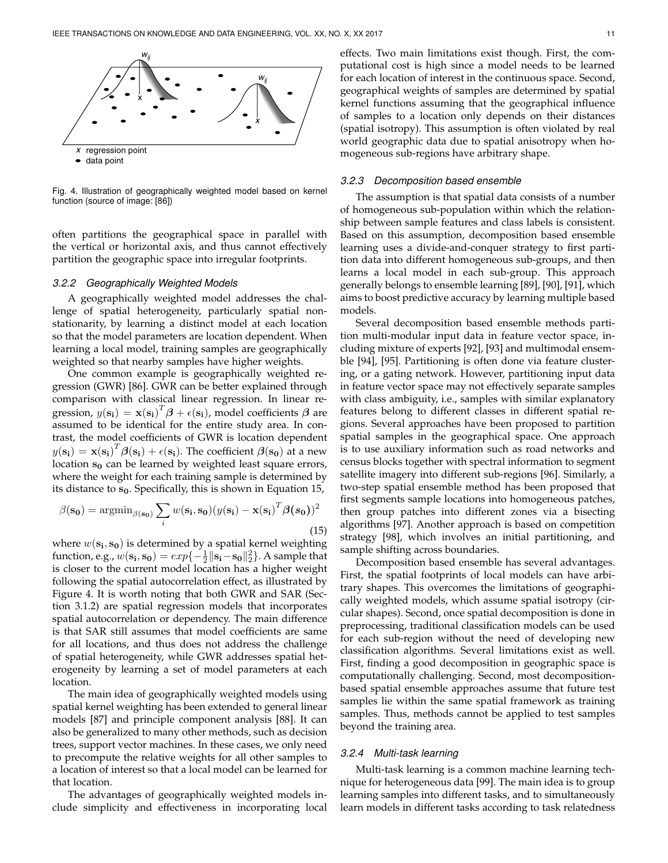

Fig. 4. Illustration of geographically weighted model based on kernel function (source of image: [86])

s<br>6 often partitions the geographical space in parallel with often partitions are geographical space in paramer with based on<br>the vertical or horizontal axis, and thus cannot effectively learning London house price data provide a manufacturery teaming partition the geographic space into irregular footprints. 
<br>
leave a

# spatial variation in the value of flatted properties is displayed in Figure 2.12 obtained *3.2.2 Geographically Weighted Models*

A geographically weighted model addresses the chal-<br>A geographically weighted model addresses the chalthe river and Richmond in the western half of the western half of the western half of the western hadden lenge of spatial heterogeneity, particularly spatial non- models.<br>stationarity by logming a distinct model at each leastion - Sexual stationarity, by learning a distinct model at each location Several Servers Several periodic station but the periodic station but the periodic station but the periodic station but the periodic station of the periodic stati so that the model parameters are foculton dependent. When their more mask the local model, there are geographically classify to very very very very very local model, the samples have higher weights. so that the model parameters are location dependent. When

 $\frac{1}{2}$  one common example is geographically weighted re- ing, or a end Common Cample to Seegraphically weighted to<br>gression (GWR) [86]. GWR can be better explained through Although it might be tempt of the two surfaces of the two surfaces of the two surfaces of the two surfaces of the two surfaces of the two surfaces of the two surfaces of the two surfaces in the two surfaces of the two surf gression,  $y(s_i) = x(s_i)^T \beta + \epsilon(s_i)$ , model coefficients  $\beta$  are features b gression,  $g(s_1) = \mathbf{x}(s_1)$ ,  $\beta + \epsilon(s_1)$ , indeer coefficients  $\beta$  are readings. trast, the model coefficients of GWR is location dependent spatial saturation of GWR is location dependent  $y(\mathbf{s_i}) = \mathbf{x}(\mathbf{s_i})^T \boldsymbol{\beta}(\mathbf{s_i}) + \epsilon(\mathbf{s_i}).$  The coefficient  $\boldsymbol{\beta}(\mathbf{s_0})$  at a new is to use  $g(s_1) = X(s_1) - \beta(s_1) + C(s_1)$ . The coefficient  $\beta(s_0)$  at a new surface than Gaussian Collection and Worsen Collection Superior Collection where the weight for each training sample is determined by satellite in where the weight for each training sample is acternated by its distance to  $s_0$ . Specifically, this is shown in Equation 15, two-step first segments.

$$
\beta(\mathbf{s_0}) = \operatorname{argmin}_{\beta(\mathbf{s_0})} \sum_i w(\mathbf{s_i}, \mathbf{s_0}) (y(\mathbf{s_i}) - \mathbf{x}(\mathbf{s_i})^T \beta(\mathbf{s_0}))^2
$$
 then gro  
(15) algorithm (15)

where  $w(\mathbf{s_i}, \mathbf{s_0})$  is determined by a spatial kernel weighting sample shows function, e.g.,  $w(\mathbf{s_i}, \mathbf{s_0}) = exp\{-\frac{1}{2} || \mathbf{s_i} - \mathbf{s_0} ||_2^2\}$ . A sample that sample si is closer to the current model location has a higher weight  $\frac{1}{\text{First--the}}$ following the spatial autocorrelation effect, as illustrated by  $\frac{1}{\mu}$ Figure 4. It is worth noting that both GWR and SAR (Section 3.1.2) are spatial regression models that incorporates is that SAR still assumes that model coefficients are same spatial autocorrelation or dependency. The main difference for all locations, and thus does not address the challenge of spatial heterogeneity, while GWR addresses spatial heterogeneity by learning a set of model parameters at each location.

> The main idea of geographically weighted models using spatial kernel weighting has been extended to general linear models [87] and principle component analysis [88]. It can also be generalized to many other methods, such as decision trees, support vector machines. In these cases, we only need to precompute the relative weights for all other samples to a location of interest so that a local model can be learned for that location.

> The advantages of geographically weighted models include simplicity and effectiveness in incorporating local

effects. Two main limitations exist though. First, the computational cost is high since a model needs to be learned for each location of interest in the continuous space. Second, geographical weights of samples are determined by spatial kernel functions assuming that the geographical influence of samples to a location only depends on their distances (spatial isotropy). This assumption is often violated by real world geographic data due to spatial anisotropy when homogeneous sub-regions have arbitrary shape.

#### *3.2.3 Decomposition based ensemble*

 $\frac{d}{dt}$  determined of the bandwidth is necessary as part of the bandwidth is necessary as part of the bandwidth is necessary as  $\frac{1}{t}$  as  $\frac{1}{t}$  as part of the bandwidth is necessary as part of the bandwidth is ne The assumption is that spatial data consists of a number of homogeneous sub-population within which the relationship between sample features and class labels is consistent. Based on this assumption, decomposition based ensemble learning uses a divide-and-conquer strategy to first partition data into different homogeneous sub-groups, and then learns a local model in each sub-group. This approach generally belongs to ensemble learning [89], [90], [91], which aims to boost predictive accuracy by learning multiple based models.

> Several decomposition based ensemble methods partition multi-modular input data in feature vector space, including mixture of experts [92], [93] and multimodal ensemble [94], [95]. Partitioning is often done via feature clustering, or a gating network. However, partitioning input data in feature vector space may not effectively separate samples with class ambiguity, i.e., samples with similar explanatory features belong to different classes in different spatial regions. Several approaches have been proposed to partition spatial samples in the geographical space. One approach is to use auxiliary information such as road networks and census blocks together with spectral information to segment satellite imagery into different sub-regions [96]. Similarly, a two-step spatial ensemble method has been proposed that first segments sample locations into homogeneous patches, then group patches into different zones via a bisecting algorithms [97]. Another approach is based on competition strategy [98], which involves an initial partitioning, and sample shifting across boundaries.

> Decomposition based ensemble has several advantages. First, the spatial footprints of local models can have arbitrary shapes. This overcomes the limitations of geographically weighted models, which assume spatial isotropy (circular shapes). Second, once spatial decomposition is done in preprocessing, traditional classification models can be used for each sub-region without the need of developing new classification algorithms. Several limitations exist as well. First, finding a good decomposition in geographic space is computationally challenging. Second, most decompositionbased spatial ensemble approaches assume that future test samples lie within the same spatial framework as training samples. Thus, methods cannot be applied to test samples beyond the training area.

#### *3.2.4 Multi-task learning*

Multi-task learning is a common machine learning technique for heterogeneous data [99]. The main idea is to group learning samples into different tasks, and to simultaneously learn models in different tasks according to task relatedness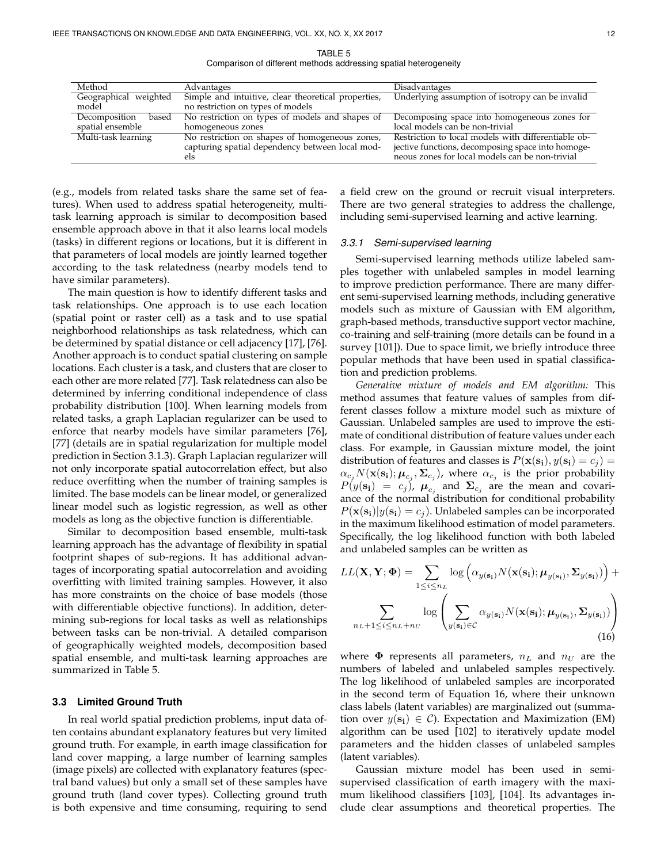TABLE 5 Comparison of different methods addressing spatial heterogeneity

| Method                                     | Advantages                                                                                               | <b>Disadvantages</b>                                                                                                                                        |
|--------------------------------------------|----------------------------------------------------------------------------------------------------------|-------------------------------------------------------------------------------------------------------------------------------------------------------------|
| Geographical weighted<br>model             | Simple and intuitive, clear theoretical properties,<br>no restriction on types of models                 | Underlying assumption of isotropy can be invalid                                                                                                            |
| Decomposition<br>based<br>spatial ensemble | No restriction on types of models and shapes of<br>homogeneous zones                                     | Decomposing space into homogeneous zones for<br>local models can be non-trivial                                                                             |
| Multi-task learning                        | No restriction on shapes of homogeneous zones,<br>capturing spatial dependency between local mod-<br>els | Restriction to local models with differentiable ob-<br>jective functions, decomposing space into homoge-<br>neous zones for local models can be non-trivial |

(e.g., models from related tasks share the same set of features). When used to address spatial heterogeneity, multitask learning approach is similar to decomposition based ensemble approach above in that it also learns local models (tasks) in different regions or locations, but it is different in that parameters of local models are jointly learned together according to the task relatedness (nearby models tend to have similar parameters).

The main question is how to identify different tasks and task relationships. One approach is to use each location (spatial point or raster cell) as a task and to use spatial neighborhood relationships as task relatedness, which can be determined by spatial distance or cell adjacency [17], [76]. Another approach is to conduct spatial clustering on sample locations. Each cluster is a task, and clusters that are closer to each other are more related [77]. Task relatedness can also be determined by inferring conditional independence of class probability distribution [100]. When learning models from related tasks, a graph Laplacian regularizer can be used to enforce that nearby models have similar parameters [76], [77] (details are in spatial regularization for multiple model prediction in Section 3.1.3). Graph Laplacian regularizer will not only incorporate spatial autocorrelation effect, but also reduce overfitting when the number of training samples is limited. The base models can be linear model, or generalized linear model such as logistic regression, as well as other models as long as the objective function is differentiable.

Similar to decomposition based ensemble, multi-task learning approach has the advantage of flexibility in spatial footprint shapes of sub-regions. It has additional advantages of incorporating spatial autocorrelation and avoiding overfitting with limited training samples. However, it also has more constraints on the choice of base models (those with differentiable objective functions). In addition, determining sub-regions for local tasks as well as relationships between tasks can be non-trivial. A detailed comparison of geographically weighted models, decomposition based spatial ensemble, and multi-task learning approaches are summarized in Table 5.

#### **3.3 Limited Ground Truth**

In real world spatial prediction problems, input data often contains abundant explanatory features but very limited ground truth. For example, in earth image classification for land cover mapping, a large number of learning samples (image pixels) are collected with explanatory features (spectral band values) but only a small set of these samples have ground truth (land cover types). Collecting ground truth is both expensive and time consuming, requiring to send a field crew on the ground or recruit visual interpreters. There are two general strategies to address the challenge, including semi-supervised learning and active learning.

#### *3.3.1 Semi-supervised learning*

Semi-supervised learning methods utilize labeled samples together with unlabeled samples in model learning to improve prediction performance. There are many different semi-supervised learning methods, including generative models such as mixture of Gaussian with EM algorithm, graph-based methods, transductive support vector machine, co-training and self-training (more details can be found in a survey [101]). Due to space limit, we briefly introduce three popular methods that have been used in spatial classification and prediction problems.

*Generative mixture of models and EM algorithm:* This method assumes that feature values of samples from different classes follow a mixture model such as mixture of Gaussian. Unlabeled samples are used to improve the estimate of conditional distribution of feature values under each class. For example, in Gaussian mixture model, the joint distribution of features and classes is  $P(\mathbf{x}(s_i), y(s_i) = c_j) =$  $\alpha_{c_j} N(\mathbf{x}(\mathbf{s_i}); \boldsymbol{\mu}_{c_j}, \boldsymbol{\Sigma}_{c_j})$ , where  $\alpha_{c_j}$  is the prior probability  $P(y(\mathbf{s_i}) = c_j)$ ,  $\boldsymbol{\mu}_{c_j}$  and  $\boldsymbol{\Sigma}_{c_j}$  are the mean and covariance of the normal distribution for conditional probability  $P(\mathbf{x}(s_i)|y(s_i) = c_i)$ . Unlabeled samples can be incorporated in the maximum likelihood estimation of model parameters. Specifically, the log likelihood function with both labeled and unlabeled samples can be written as

$$
LL(\mathbf{X}, \mathbf{Y}; \mathbf{\Phi}) = \sum_{1 \leq i \leq n_L} \log \left( \alpha_{y(\mathbf{s}_i)} N(\mathbf{x}(\mathbf{s}_i); \boldsymbol{\mu}_{y(\mathbf{s}_i)}, \boldsymbol{\Sigma}_{y(\mathbf{s}_i)}) \right) + \sum_{n_L + 1 \leq i \leq n_L + n_U} \log \left( \sum_{y(\mathbf{s}_i) \in C} \alpha_{y(\mathbf{s}_i)} N(\mathbf{x}(\mathbf{s}_i); \boldsymbol{\mu}_{y(\mathbf{s}_i)}, \boldsymbol{\Sigma}_{y(\mathbf{s}_i)}) \right)
$$
(16)

where  $\Phi$  represents all parameters,  $n<sub>L</sub>$  and  $n<sub>U</sub>$  are the numbers of labeled and unlabeled samples respectively. The log likelihood of unlabeled samples are incorporated in the second term of Equation 16, where their unknown class labels (latent variables) are marginalized out (summation over  $y(\mathbf{s_i}) \in C$ ). Expectation and Maximization (EM) algorithm can be used [102] to iteratively update model parameters and the hidden classes of unlabeled samples (latent variables).

Gaussian mixture model has been used in semisupervised classification of earth imagery with the maximum likelihood classifiers [103], [104]. Its advantages include clear assumptions and theoretical properties. The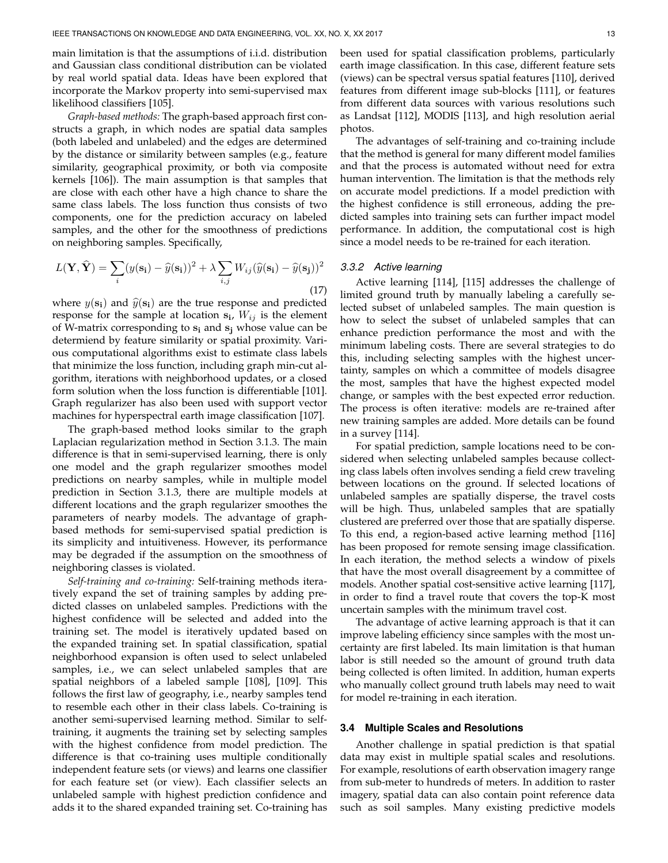main limitation is that the assumptions of i.i.d. distribution and Gaussian class conditional distribution can be violated by real world spatial data. Ideas have been explored that incorporate the Markov property into semi-supervised max likelihood classifiers [105].

*Graph-based methods:* The graph-based approach first constructs a graph, in which nodes are spatial data samples (both labeled and unlabeled) and the edges are determined by the distance or similarity between samples (e.g., feature similarity, geographical proximity, or both via composite kernels [106]). The main assumption is that samples that are close with each other have a high chance to share the same class labels. The loss function thus consists of two components, one for the prediction accuracy on labeled samples, and the other for the smoothness of predictions on neighboring samples. Specifically,

$$
L(\mathbf{Y}, \hat{\mathbf{Y}}) = \sum_{i} (y(\mathbf{s_i}) - \hat{y}(\mathbf{s_i}))^2 + \lambda \sum_{i,j} W_{ij} (\hat{y}(\mathbf{s_i}) - \hat{y}(\mathbf{s_j}))^2
$$
\n(17)

where  $y(\mathbf{s_i})$  and  $\hat{y}(\mathbf{s_i})$  are the true response and predicted response for the sample at location  $s_i$ ,  $W_{ij}$  is the element of W-matrix corresponding to  $s_i$  and  $s_j$  whose value can be determiend by feature similarity or spatial proximity. Various computational algorithms exist to estimate class labels that minimize the loss function, including graph min-cut algorithm, iterations with neighborhood updates, or a closed form solution when the loss function is differentiable [101]. Graph regularizer has also been used with support vector machines for hyperspectral earth image classification [107].

The graph-based method looks similar to the graph Laplacian regularization method in Section 3.1.3. The main difference is that in semi-supervised learning, there is only one model and the graph regularizer smoothes model predictions on nearby samples, while in multiple model prediction in Section 3.1.3, there are multiple models at different locations and the graph regularizer smoothes the parameters of nearby models. The advantage of graphbased methods for semi-supervised spatial prediction is its simplicity and intuitiveness. However, its performance may be degraded if the assumption on the smoothness of neighboring classes is violated.

*Self-training and co-training:* Self-training methods iteratively expand the set of training samples by adding predicted classes on unlabeled samples. Predictions with the highest confidence will be selected and added into the training set. The model is iteratively updated based on the expanded training set. In spatial classification, spatial neighborhood expansion is often used to select unlabeled samples, i.e., we can select unlabeled samples that are spatial neighbors of a labeled sample [108], [109]. This follows the first law of geography, i.e., nearby samples tend to resemble each other in their class labels. Co-training is another semi-supervised learning method. Similar to selftraining, it augments the training set by selecting samples with the highest confidence from model prediction. The difference is that co-training uses multiple conditionally independent feature sets (or views) and learns one classifier for each feature set (or view). Each classifier selects an unlabeled sample with highest prediction confidence and adds it to the shared expanded training set. Co-training has

been used for spatial classification problems, particularly earth image classification. In this case, different feature sets (views) can be spectral versus spatial features [110], derived features from different image sub-blocks [111], or features from different data sources with various resolutions such as Landsat [112], MODIS [113], and high resolution aerial photos.

The advantages of self-training and co-training include that the method is general for many different model families and that the process is automated without need for extra human intervention. The limitation is that the methods rely on accurate model predictions. If a model prediction with the highest confidence is still erroneous, adding the predicted samples into training sets can further impact model performance. In addition, the computational cost is high since a model needs to be re-trained for each iteration.

#### *3.3.2 Active learning*

Active learning [114], [115] addresses the challenge of limited ground truth by manually labeling a carefully selected subset of unlabeled samples. The main question is how to select the subset of unlabeled samples that can enhance prediction performance the most and with the minimum labeling costs. There are several strategies to do this, including selecting samples with the highest uncertainty, samples on which a committee of models disagree the most, samples that have the highest expected model change, or samples with the best expected error reduction. The process is often iterative: models are re-trained after new training samples are added. More details can be found in a survey [114].

For spatial prediction, sample locations need to be considered when selecting unlabeled samples because collecting class labels often involves sending a field crew traveling between locations on the ground. If selected locations of unlabeled samples are spatially disperse, the travel costs will be high. Thus, unlabeled samples that are spatially clustered are preferred over those that are spatially disperse. To this end, a region-based active learning method [116] has been proposed for remote sensing image classification. In each iteration, the method selects a window of pixels that have the most overall disagreement by a committee of models. Another spatial cost-sensitive active learning [117], in order to find a travel route that covers the top-K most uncertain samples with the minimum travel cost.

The advantage of active learning approach is that it can improve labeling efficiency since samples with the most uncertainty are first labeled. Its main limitation is that human labor is still needed so the amount of ground truth data being collected is often limited. In addition, human experts who manually collect ground truth labels may need to wait for model re-training in each iteration.

#### **3.4 Multiple Scales and Resolutions**

Another challenge in spatial prediction is that spatial data may exist in multiple spatial scales and resolutions. For example, resolutions of earth observation imagery range from sub-meter to hundreds of meters. In addition to raster imagery, spatial data can also contain point reference data such as soil samples. Many existing predictive models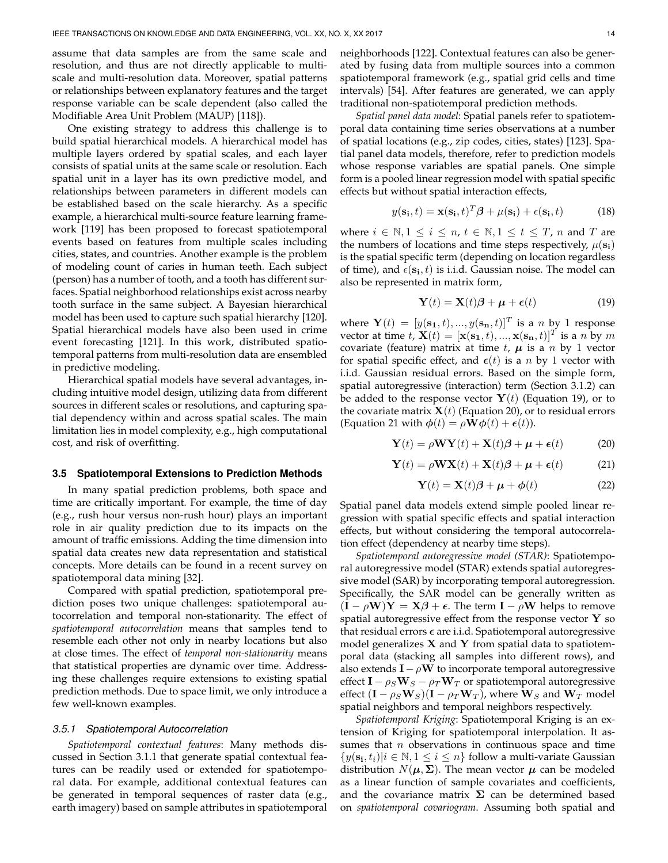assume that data samples are from the same scale and resolution, and thus are not directly applicable to multiscale and multi-resolution data. Moreover, spatial patterns or relationships between explanatory features and the target response variable can be scale dependent (also called the Modifiable Area Unit Problem (MAUP) [118]).

One existing strategy to address this challenge is to build spatial hierarchical models. A hierarchical model has multiple layers ordered by spatial scales, and each layer consists of spatial units at the same scale or resolution. Each spatial unit in a layer has its own predictive model, and relationships between parameters in different models can be established based on the scale hierarchy. As a specific example, a hierarchical multi-source feature learning framework [119] has been proposed to forecast spatiotemporal events based on features from multiple scales including cities, states, and countries. Another example is the problem of modeling count of caries in human teeth. Each subject (person) has a number of tooth, and a tooth has different surfaces. Spatial neighborhood relationships exist across nearby tooth surface in the same subject. A Bayesian hierarchical model has been used to capture such spatial hierarchy [120]. Spatial hierarchical models have also been used in crime event forecasting [121]. In this work, distributed spatiotemporal patterns from multi-resolution data are ensembled in predictive modeling.

Hierarchical spatial models have several advantages, including intuitive model design, utilizing data from different sources in different scales or resolutions, and capturing spatial dependency within and across spatial scales. The main limitation lies in model complexity, e.g., high computational cost, and risk of overfitting.

#### **3.5 Spatiotemporal Extensions to Prediction Methods**

In many spatial prediction problems, both space and time are critically important. For example, the time of day (e.g., rush hour versus non-rush hour) plays an important role in air quality prediction due to its impacts on the amount of traffic emissions. Adding the time dimension into spatial data creates new data representation and statistical concepts. More details can be found in a recent survey on spatiotemporal data mining [32].

Compared with spatial prediction, spatiotemporal prediction poses two unique challenges: spatiotemporal autocorrelation and temporal non-stationarity. The effect of *spatiotemporal autocorrelation* means that samples tend to resemble each other not only in nearby locations but also at close times. The effect of *temporal non-stationarity* means that statistical properties are dynamic over time. Addressing these challenges require extensions to existing spatial prediction methods. Due to space limit, we only introduce a few well-known examples.

#### *3.5.1 Spatiotemporal Autocorrelation*

*Spatiotemporal contextual features*: Many methods discussed in Section 3.1.1 that generate spatial contextual features can be readily used or extended for spatiotemporal data. For example, additional contextual features can be generated in temporal sequences of raster data (e.g., earth imagery) based on sample attributes in spatiotemporal neighborhoods [122]. Contextual features can also be generated by fusing data from multiple sources into a common spatiotemporal framework (e.g., spatial grid cells and time intervals) [54]. After features are generated, we can apply traditional non-spatiotemporal prediction methods.

*Spatial panel data model*: Spatial panels refer to spatiotemporal data containing time series observations at a number of spatial locations (e.g., zip codes, cities, states) [123]. Spatial panel data models, therefore, refer to prediction models whose response variables are spatial panels. One simple form is a pooled linear regression model with spatial specific effects but without spatial interaction effects,

$$
y(\mathbf{s_i}, t) = \mathbf{x}(\mathbf{s_i}, t)^T \boldsymbol{\beta} + \mu(\mathbf{s_i}) + \epsilon(\mathbf{s_i}, t)
$$
(18)

where  $i \in \mathbb{N}, 1 \le i \le n$ ,  $t \in \mathbb{N}, 1 \le t \le T$ , n and T are the numbers of locations and time steps respectively,  $\mu(\mathbf{s_i})$ is the spatial specific term (depending on location regardless of time), and  $\epsilon(\mathbf{s_i}, t)$  is i.i.d. Gaussian noise. The model can also be represented in matrix form,

$$
\mathbf{Y}(t) = \mathbf{X}(t)\boldsymbol{\beta} + \boldsymbol{\mu} + \boldsymbol{\epsilon}(t) \tag{19}
$$

where  $\mathbf{Y}(t) = [y(\mathbf{s_1}, t), ..., y(\mathbf{s_n}, t)]^T$  is a n by 1 response vector at time  $t$ ,  $\mathbf{X}(t) = [\mathbf{x}(\mathbf{s_1}, t), ..., \mathbf{x}(\mathbf{s_n}, t)]^T$  is a n by m covariate (feature) matrix at time  $t$ ,  $\mu$  is a n by 1 vector for spatial specific effect, and  $\epsilon(t)$  is a n by 1 vector with i.i.d. Gaussian residual errors. Based on the simple form, spatial autoregressive (interaction) term (Section 3.1.2) can be added to the response vector  $\mathbf{Y}(t)$  (Equation 19), or to the covariate matrix  $\mathbf{X}(t)$  (Equation 20), or to residual errors (Equation 21 with  $\phi(t) = \rho \mathbf{W} \phi(t) + \epsilon(t)$ ).

$$
\mathbf{Y}(t) = \rho \mathbf{W} \mathbf{Y}(t) + \mathbf{X}(t)\boldsymbol{\beta} + \boldsymbol{\mu} + \boldsymbol{\epsilon}(t) \tag{20}
$$

$$
\mathbf{Y}(t) = \rho \mathbf{W} \mathbf{X}(t) + \mathbf{X}(t)\boldsymbol{\beta} + \boldsymbol{\mu} + \boldsymbol{\epsilon}(t) \tag{21}
$$

$$
\mathbf{Y}(t) = \mathbf{X}(t)\boldsymbol{\beta} + \boldsymbol{\mu} + \boldsymbol{\phi}(t) \tag{22}
$$

Spatial panel data models extend simple pooled linear regression with spatial specific effects and spatial interaction effects, but without considering the temporal autocorrelation effect (dependency at nearby time steps).

*Spatiotemporal autoregressive model (STAR)*: Spatiotemporal autoregressive model (STAR) extends spatial autoregressive model (SAR) by incorporating temporal autoregression. Specifically, the SAR model can be generally written as  $(\mathbf{I} - \rho \mathbf{W})\mathbf{Y} = \mathbf{X}\boldsymbol{\beta} + \boldsymbol{\epsilon}$ . The term  $\mathbf{I} - \rho \mathbf{W}$  helps to remove spatial autoregressive effect from the response vector  $Y$  so that residual errors  $\epsilon$  are i.i.d. Spatiotemporal autoregressive model generalizes  $X$  and  $Y$  from spatial data to spatiotemporal data (stacking all samples into different rows), and also extends  $\mathbf{I} - \rho \mathbf{W}$  to incorporate temporal autoregressive effect  $\mathbf{I} - \rho_S \mathbf{W}_S - \rho_T \mathbf{W}_T$  or spatiotemporal autoregressive effect  $(I - \rho_S \mathbf{W}_S)(I - \rho_T \mathbf{W}_T)$ , where  $\mathbf{W}_S$  and  $\mathbf{W}_T$  model spatial neighbors and temporal neighbors respectively.

*Spatiotemporal Kriging*: Spatiotemporal Kriging is an extension of Kriging for spatiotemporal interpolation. It assumes that  $n$  observations in continuous space and time  $\{y(\mathbf{s_i}, t_i)|i \in \mathbb{N}, 1 \le i \le n\}$  follow a multi-variate Gaussian distribution  $N(\mu, \Sigma)$ . The mean vector  $\mu$  can be modeled as a linear function of sample covariates and coefficients, and the covariance matrix  $\Sigma$  can be determined based on *spatiotemporal covariogram*. Assuming both spatial and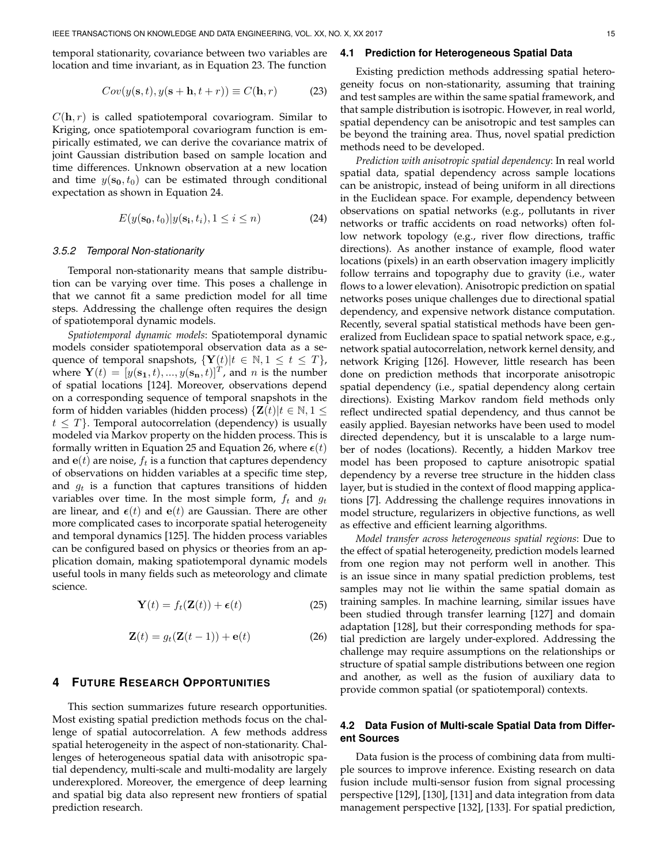temporal stationarity, covariance between two variables are location and time invariant, as in Equation 23. The function

$$
Cov(y(\mathbf{s},t), y(\mathbf{s} + \mathbf{h}, t + r)) \equiv C(\mathbf{h}, r)
$$
 (23)

 $C(\mathbf{h}, r)$  is called spatiotemporal covariogram. Similar to Kriging, once spatiotemporal covariogram function is empirically estimated, we can derive the covariance matrix of joint Gaussian distribution based on sample location and time differences. Unknown observation at a new location and time  $y(\mathbf{s_0}, t_0)$  can be estimated through conditional expectation as shown in Equation 24.

$$
E(y(\mathbf{s_0}, t_0)|y(\mathbf{s_i}, t_i), 1 \le i \le n)
$$
\n(24)

#### *3.5.2 Temporal Non-stationarity*

Temporal non-stationarity means that sample distribution can be varying over time. This poses a challenge in that we cannot fit a same prediction model for all time steps. Addressing the challenge often requires the design of spatiotemporal dynamic models.

*Spatiotemporal dynamic models*: Spatiotemporal dynamic models consider spatiotemporal observation data as a sequence of temporal snapshots,  $\{Y(t)|t \in \mathbb{N}, 1 \le t \le T\}$ , where  $\mathbf{Y}(t) = [y(\mathbf{s_1}, t), ..., y(\mathbf{s_n}, t)]^T$ , and n is the number of spatial locations [124]. Moreover, observations depend on a corresponding sequence of temporal snapshots in the form of hidden variables (hidden process)  $\{Z(t)|t \in \mathbb{N}, 1 \leq \}$  $t \leq T$ . Temporal autocorrelation (dependency) is usually modeled via Markov property on the hidden process. This is formally written in Equation 25 and Equation 26, where  $\epsilon(t)$ and  $e(t)$  are noise,  $f_t$  is a function that captures dependency of observations on hidden variables at a specific time step, and  $g_t$  is a function that captures transitions of hidden variables over time. In the most simple form,  $f_t$  and  $g_t$ are linear, and  $\epsilon(t)$  and  $\epsilon(t)$  are Gaussian. There are other more complicated cases to incorporate spatial heterogeneity and temporal dynamics [125]. The hidden process variables can be configured based on physics or theories from an application domain, making spatiotemporal dynamic models useful tools in many fields such as meteorology and climate science.

$$
\mathbf{Y}(t) = f_t(\mathbf{Z}(t)) + \epsilon(t) \tag{25}
$$

$$
\mathbf{Z}(t) = g_t(\mathbf{Z}(t-1)) + \mathbf{e}(t)
$$
 (26)

#### **4 FUTURE RESEARCH OPPORTUNITIES**

This section summarizes future research opportunities. Most existing spatial prediction methods focus on the challenge of spatial autocorrelation. A few methods address spatial heterogeneity in the aspect of non-stationarity. Challenges of heterogeneous spatial data with anisotropic spatial dependency, multi-scale and multi-modality are largely underexplored. Moreover, the emergence of deep learning and spatial big data also represent new frontiers of spatial prediction research.

#### **4.1 Prediction for Heterogeneous Spatial Data**

Existing prediction methods addressing spatial heterogeneity focus on non-stationarity, assuming that training and test samples are within the same spatial framework, and that sample distribution is isotropic. However, in real world, spatial dependency can be anisotropic and test samples can be beyond the training area. Thus, novel spatial prediction methods need to be developed.

*Prediction with anisotropic spatial dependency*: In real world spatial data, spatial dependency across sample locations can be anistropic, instead of being uniform in all directions in the Euclidean space. For example, dependency between observations on spatial networks (e.g., pollutants in river networks or traffic accidents on road networks) often follow network topology (e.g., river flow directions, traffic directions). As another instance of example, flood water locations (pixels) in an earth observation imagery implicitly follow terrains and topography due to gravity (i.e., water flows to a lower elevation). Anisotropic prediction on spatial networks poses unique challenges due to directional spatial dependency, and expensive network distance computation. Recently, several spatial statistical methods have been generalized from Euclidean space to spatial network space, e.g., network spatial autocorrelation, network kernel density, and network Kriging [126]. However, little research has been done on prediction methods that incorporate anisotropic spatial dependency (i.e., spatial dependency along certain directions). Existing Markov random field methods only reflect undirected spatial dependency, and thus cannot be easily applied. Bayesian networks have been used to model directed dependency, but it is unscalable to a large number of nodes (locations). Recently, a hidden Markov tree model has been proposed to capture anisotropic spatial dependency by a reverse tree structure in the hidden class layer, but is studied in the context of flood mapping applications [7]. Addressing the challenge requires innovations in model structure, regularizers in objective functions, as well as effective and efficient learning algorithms.

*Model transfer across heterogeneous spatial regions*: Due to the effect of spatial heterogeneity, prediction models learned from one region may not perform well in another. This is an issue since in many spatial prediction problems, test samples may not lie within the same spatial domain as training samples. In machine learning, similar issues have been studied through transfer learning [127] and domain adaptation [128], but their corresponding methods for spatial prediction are largely under-explored. Addressing the challenge may require assumptions on the relationships or structure of spatial sample distributions between one region and another, as well as the fusion of auxiliary data to provide common spatial (or spatiotemporal) contexts.

# **4.2 Data Fusion of Multi-scale Spatial Data from Different Sources**

Data fusion is the process of combining data from multiple sources to improve inference. Existing research on data fusion include multi-sensor fusion from signal processing perspective [129], [130], [131] and data integration from data management perspective [132], [133]. For spatial prediction,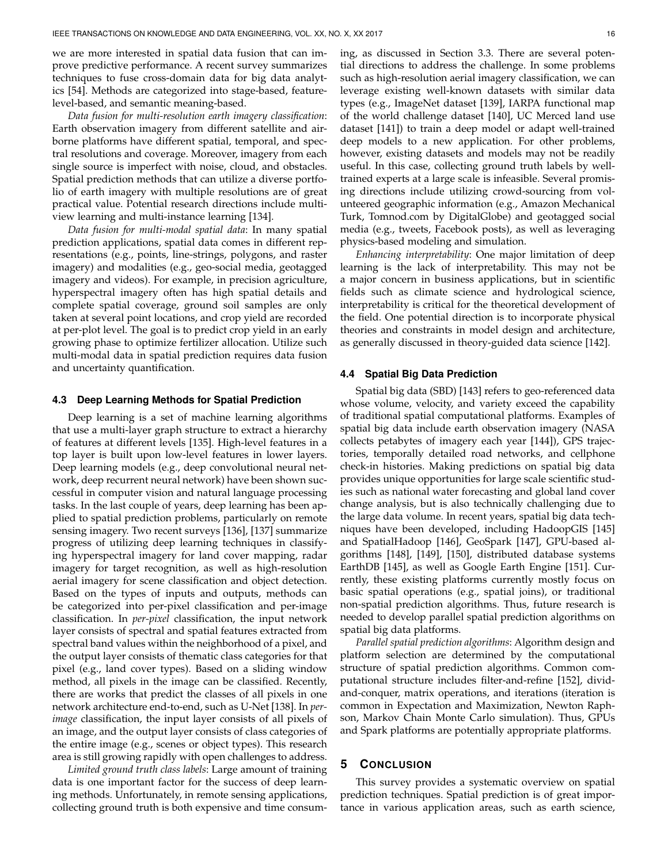we are more interested in spatial data fusion that can improve predictive performance. A recent survey summarizes techniques to fuse cross-domain data for big data analytics [54]. Methods are categorized into stage-based, featurelevel-based, and semantic meaning-based.

*Data fusion for multi-resolution earth imagery classification*: Earth observation imagery from different satellite and airborne platforms have different spatial, temporal, and spectral resolutions and coverage. Moreover, imagery from each single source is imperfect with noise, cloud, and obstacles. Spatial prediction methods that can utilize a diverse portfolio of earth imagery with multiple resolutions are of great practical value. Potential research directions include multiview learning and multi-instance learning [134].

*Data fusion for multi-modal spatial data*: In many spatial prediction applications, spatial data comes in different representations (e.g., points, line-strings, polygons, and raster imagery) and modalities (e.g., geo-social media, geotagged imagery and videos). For example, in precision agriculture, hyperspectral imagery often has high spatial details and complete spatial coverage, ground soil samples are only taken at several point locations, and crop yield are recorded at per-plot level. The goal is to predict crop yield in an early growing phase to optimize fertilizer allocation. Utilize such multi-modal data in spatial prediction requires data fusion and uncertainty quantification.

#### **4.3 Deep Learning Methods for Spatial Prediction**

Deep learning is a set of machine learning algorithms that use a multi-layer graph structure to extract a hierarchy of features at different levels [135]. High-level features in a top layer is built upon low-level features in lower layers. Deep learning models (e.g., deep convolutional neural network, deep recurrent neural network) have been shown successful in computer vision and natural language processing tasks. In the last couple of years, deep learning has been applied to spatial prediction problems, particularly on remote sensing imagery. Two recent surveys [136], [137] summarize progress of utilizing deep learning techniques in classifying hyperspectral imagery for land cover mapping, radar imagery for target recognition, as well as high-resolution aerial imagery for scene classification and object detection. Based on the types of inputs and outputs, methods can be categorized into per-pixel classification and per-image classification. In *per-pixel* classification, the input network layer consists of spectral and spatial features extracted from spectral band values within the neighborhood of a pixel, and the output layer consists of thematic class categories for that pixel (e.g., land cover types). Based on a sliding window method, all pixels in the image can be classified. Recently, there are works that predict the classes of all pixels in one network architecture end-to-end, such as U-Net [138]. In *perimage* classification, the input layer consists of all pixels of an image, and the output layer consists of class categories of the entire image (e.g., scenes or object types). This research area is still growing rapidly with open challenges to address.

*Limited ground truth class labels*: Large amount of training data is one important factor for the success of deep learning methods. Unfortunately, in remote sensing applications, collecting ground truth is both expensive and time consuming, as discussed in Section 3.3. There are several potential directions to address the challenge. In some problems such as high-resolution aerial imagery classification, we can leverage existing well-known datasets with similar data types (e.g., ImageNet dataset [139], IARPA functional map of the world challenge dataset [140], UC Merced land use dataset [141]) to train a deep model or adapt well-trained deep models to a new application. For other problems, however, existing datasets and models may not be readily useful. In this case, collecting ground truth labels by welltrained experts at a large scale is infeasible. Several promising directions include utilizing crowd-sourcing from volunteered geographic information (e.g., Amazon Mechanical Turk, Tomnod.com by DigitalGlobe) and geotagged social media (e.g., tweets, Facebook posts), as well as leveraging physics-based modeling and simulation.

*Enhancing interpretability*: One major limitation of deep learning is the lack of interpretability. This may not be a major concern in business applications, but in scientific fields such as climate science and hydrological science, interpretability is critical for the theoretical development of the field. One potential direction is to incorporate physical theories and constraints in model design and architecture, as generally discussed in theory-guided data science [142].

#### **4.4 Spatial Big Data Prediction**

Spatial big data (SBD) [143] refers to geo-referenced data whose volume, velocity, and variety exceed the capability of traditional spatial computational platforms. Examples of spatial big data include earth observation imagery (NASA collects petabytes of imagery each year [144]), GPS trajectories, temporally detailed road networks, and cellphone check-in histories. Making predictions on spatial big data provides unique opportunities for large scale scientific studies such as national water forecasting and global land cover change analysis, but is also technically challenging due to the large data volume. In recent years, spatial big data techniques have been developed, including HadoopGIS [145] and SpatialHadoop [146], GeoSpark [147], GPU-based algorithms [148], [149], [150], distributed database systems EarthDB [145], as well as Google Earth Engine [151]. Currently, these existing platforms currently mostly focus on basic spatial operations (e.g., spatial joins), or traditional non-spatial prediction algorithms. Thus, future research is needed to develop parallel spatial prediction algorithms on spatial big data platforms.

*Parallel spatial prediction algorithms*: Algorithm design and platform selection are determined by the computational structure of spatial prediction algorithms. Common computational structure includes filter-and-refine [152], dividand-conquer, matrix operations, and iterations (iteration is common in Expectation and Maximization, Newton Raphson, Markov Chain Monte Carlo simulation). Thus, GPUs and Spark platforms are potentially appropriate platforms.

#### **5 CONCLUSION**

This survey provides a systematic overview on spatial prediction techniques. Spatial prediction is of great importance in various application areas, such as earth science,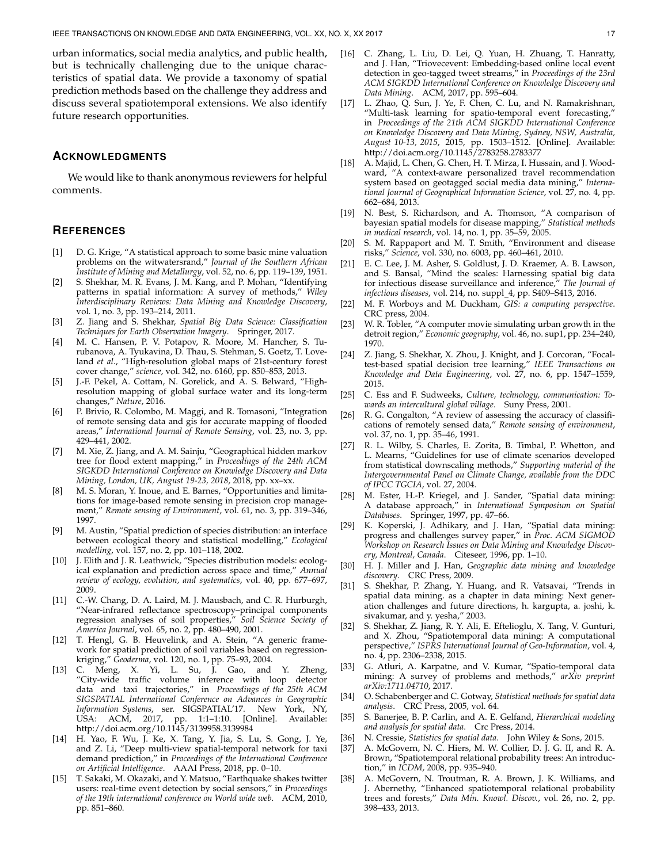urban informatics, social media analytics, and public health, but is technically challenging due to the unique characteristics of spatial data. We provide a taxonomy of spatial prediction methods based on the challenge they address and discuss several spatiotemporal extensions. We also identify future research opportunities.

# **ACKNOWLEDGMENTS**

We would like to thank anonymous reviewers for helpful comments.

### **REFERENCES**

- D. G. Krige, "A statistical approach to some basic mine valuation problems on the witwatersrand," *Journal of the Southern African Institute of Mining and Metallurgy*, vol. 52, no. 6, pp. 119–139, 1951.
- [2] S. Shekhar, M. R. Evans, J. M. Kang, and P. Mohan, "Identifying patterns in spatial information: A survey of methods," *Wiley Interdisciplinary Reviews: Data Mining and Knowledge Discovery*, vol. 1, no. 3, pp. 193–214, 2011.
- [3] Z. Jiang and S. Shekhar, *Spatial Big Data Science: Classification Techniques for Earth Observation Imagery*. Springer, 2017.
- [4] M. C. Hansen, P. V. Potapov, R. Moore, M. Hancher, S. Turubanova, A. Tyukavina, D. Thau, S. Stehman, S. Goetz, T. Loveland *et al.*, "High-resolution global maps of 21st-century forest cover change," *science*, vol. 342, no. 6160, pp. 850–853, 2013.
- [5] J.-F. Pekel, A. Cottam, N. Gorelick, and A. S. Belward, "Highresolution mapping of global surface water and its long-term changes," *Nature*, 2016.
- [6] P. Brivio, R. Colombo, M. Maggi, and R. Tomasoni, "Integration of remote sensing data and gis for accurate mapping of flooded areas," *International Journal of Remote Sensing*, vol. 23, no. 3, pp. 429–441, 2002.
- [7] M. Xie, Z. Jiang, and A. M. Sainju, "Geographical hidden markov tree for flood extent mapping," in *Proceedings of the 24th ACM SIGKDD International Conference on Knowledge Discovery and Data Mining, London, UK, August 19-23, 2018*, 2018, pp. xx–xx.
- M. S. Moran, Y. Inoue, and E. Barnes, "Opportunities and limitations for image-based remote sensing in precision crop management," *Remote sensing of Environment*, vol. 61, no. 3, pp. 319–346, 1997.
- [9] M. Austin, "Spatial prediction of species distribution: an interface between ecological theory and statistical modelling," *Ecological modelling*, vol. 157, no. 2, pp. 101–118, 2002.
- [10] J. Elith and J. R. Leathwick, "Species distribution models: ecological explanation and prediction across space and time," *Annual review of ecology, evolution, and systematics*, vol. 40, pp. 677–697, 2009.
- [11] C.-W. Chang, D. A. Laird, M. J. Mausbach, and C. R. Hurburgh, "Near-infrared reflectance spectroscopy–principal components regression analyses of soil properties," *Soil Science Society of America Journal*, vol. 65, no. 2, pp. 480–490, 2001.
- [12] T. Hengl, G. B. Heuvelink, and A. Stein, "A generic framework for spatial prediction of soil variables based on regressionkriging," *Geoderma*, vol. 120, no. 1, pp. 75–93, 2004.
- [13] C. Meng, X. Yi, L. Su, J. Gao, and Y. Zheng, "City-wide traffic volume inference with loop detector data and taxi trajectories," in *Proceedings of the 25th ACM SIGSPATIAL International Conference on Advances in Geographic Information Systems*, ser. SIGSPATIAL'17. New York, NY, ACM, 2017, pp. 1:1-1:10. http://doi.acm.org/10.1145/3139958.3139984
- [14] H. Yao, F. Wu, J. Ke, X. Tang, Y. Jia, S. Lu, S. Gong, J. Ye, and Z. Li, "Deep multi-view spatial-temporal network for taxi demand prediction," in *Proceedings of the International Conference on Artificial Intelligence*. AAAI Press, 2018, pp. 0–10.
- [15] T. Sakaki, M. Okazaki, and Y. Matsuo, "Earthquake shakes twitter users: real-time event detection by social sensors," in *Proceedings of the 19th international conference on World wide web*. ACM, 2010, pp. 851–860.
- [16] C. Zhang, L. Liu, D. Lei, Q. Yuan, H. Zhuang, T. Hanratty, and J. Han, "Triovecevent: Embedding-based online local event detection in geo-tagged tweet streams," in *Proceedings of the 23rd ACM SIGKDD International Conference on Knowledge Discovery and Data Mining*. ACM, 2017, pp. 595–604.
- [17] L. Zhao, Q. Sun, J. Ye, F. Chen, C. Lu, and N. Ramakrishnan, "Multi-task learning for spatio-temporal event forecasting," in *Proceedings of the 21th ACM SIGKDD International Conference on Knowledge Discovery and Data Mining, Sydney, NSW, Australia, August 10-13, 2015*, 2015, pp. 1503–1512. [Online]. Available: http://doi.acm.org/10.1145/2783258.2783377
- [18] A. Majid, L. Chen, G. Chen, H. T. Mirza, I. Hussain, and J. Woodward, "A context-aware personalized travel recommendation system based on geotagged social media data mining," *International Journal of Geographical Information Science*, vol. 27, no. 4, pp. 662–684, 2013.
- [19] N. Best, S. Richardson, and A. Thomson, "A comparison of bayesian spatial models for disease mapping," *Statistical methods in medical research*, vol. 14, no. 1, pp. 35–59, 2005.
- [20] S. M. Rappaport and M. T. Smith, "Environment and disease risks," *Science*, vol. 330, no. 6003, pp. 460–461, 2010.
- [21] E. C. Lee, J. M. Asher, S. Goldlust, J. D. Kraemer, A. B. Lawson, and S. Bansal, "Mind the scales: Harnessing spatial big data for infectious disease surveillance and inference," *The Journal of infectious diseases, vol.* 214, no. suppl\_4, pp. S409-S413, 2016.
- [22] M. F. Worboys and M. Duckham, *GIS: a computing perspective*. CRC press, 2004.
- [23] W. R. Tobler, "A computer movie simulating urban growth in the detroit region," *Economic geography*, vol. 46, no. sup1, pp. 234–240, 1970.
- [24] Z. Jiang, S. Shekhar, X. Zhou, J. Knight, and J. Corcoran, "Focaltest-based spatial decision tree learning," *IEEE Transactions on Knowledge and Data Engineering*, vol. 27, no. 6, pp. 1547–1559, 2015.
- [25] C. Ess and F. Sudweeks, *Culture, technology, communication: Towards an intercultural global village*. Suny Press, 2001.
- [26] R. G. Congalton, "A review of assessing the accuracy of classifications of remotely sensed data," *Remote sensing of environment*, vol. 37, no. 1, pp. 35–46, 1991.
- [27] R. L. Wilby, S. Charles, E. Zorita, B. Timbal, P. Whetton, and L. Mearns, "Guidelines for use of climate scenarios developed from statistical downscaling methods," *Supporting material of the Intergovernmental Panel on Climate Change, available from the DDC of IPCC TGCIA*, vol. 27, 2004.
- [28] M. Ester, H.-P. Kriegel, and J. Sander, "Spatial data mining: A database approach," in *International Symposium on Spatial Databases*. Springer, 1997, pp. 47–66.
- [29] K. Koperski, J. Adhikary, and J. Han, "Spatial data mining: progress and challenges survey paper," in *Proc. ACM SIGMOD Workshop on Research Issues on Data Mining and Knowledge Discovery, Montreal, Canada*. Citeseer, 1996, pp. 1–10.
- [30] H. J. Miller and J. Han, *Geographic data mining and knowledge discovery*. CRC Press, 2009.
- [31] S. Shekhar, P. Zhang, Y. Huang, and R. Vatsavai, "Trends in spatial data mining. as a chapter in data mining: Next generation challenges and future directions, h. kargupta, a. joshi, k. sivakumar, and y. yesha," 2003.
- [32] S. Shekhar, Z. Jiang, R. Y. Ali, E. Eftelioglu, X. Tang, V. Gunturi, and X. Zhou, "Spatiotemporal data mining: A computational perspective," *ISPRS International Journal of Geo-Information*, vol. 4, no. 4, pp. 2306–2338, 2015.
- [33] G. Atluri, A. Karpatne, and V. Kumar, "Spatio-temporal data mining: A survey of problems and methods," *arXiv preprint arXiv:1711.04710*, 2017.
- [34] O. Schabenberger and C. Gotway, *Statistical methods for spatial data analysis*. CRC Press, 2005, vol. 64.
- [35] S. Banerjee, B. P. Carlin, and A. E. Gelfand, *Hierarchical modeling and analysis for spatial data*. Crc Press, 2014.
- [36] N. Cressie, *Statistics for spatial data*. John Wiley & Sons, 2015.
- [37] A. McGovern, N. C. Hiers, M. W. Collier, D. J. G. II, and R. A. Brown, "Spatiotemporal relational probability trees: An introduction," in *ICDM*, 2008, pp. 935–940.
- [38] A. McGovern, N. Troutman, R. A. Brown, J. K. Williams, and J. Abernethy, "Enhanced spatiotemporal relational probability trees and forests," *Data Min. Knowl. Discov.*, vol. 26, no. 2, pp. 398–433, 2013.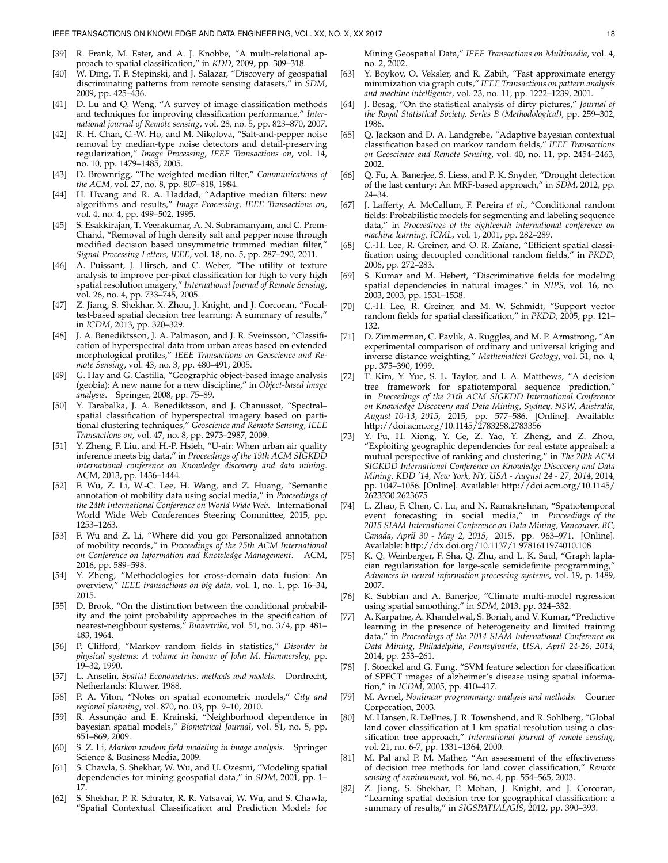- [39] R. Frank, M. Ester, and A. J. Knobbe, "A multi-relational approach to spatial classification," in *KDD*, 2009, pp. 309–318.
- W. Ding, T. F. Stepinski, and J. Salazar, "Discovery of geospatial discriminating patterns from remote sensing datasets," in *SDM*, 2009, pp. 425–436.
- [41] D. Lu and Q. Weng, "A survey of image classification methods and techniques for improving classification performance," *International journal of Remote sensing*, vol. 28, no. 5, pp. 823–870, 2007.
- R. H. Chan, C.-W. Ho, and M. Nikolova, "Salt-and-pepper noise removal by median-type noise detectors and detail-preserving regularization," *Image Processing, IEEE Transactions on*, vol. 14, no. 10, pp. 1479–1485, 2005.
- [43] D. Brownrigg, "The weighted median filter," *Communications of the ACM*, vol. 27, no. 8, pp. 807–818, 1984.
- [44] H. Hwang and R. A. Haddad, "Adaptive median filters: new algorithms and results," *Image Processing, IEEE Transactions on*, vol. 4, no. 4, pp. 499–502, 1995.
- [45] S. Esakkirajan, T. Veerakumar, A. N. Subramanyam, and C. Prem-Chand, "Removal of high density salt and pepper noise through modified decision based unsymmetric trimmed median filter," *Signal Processing Letters, IEEE*, vol. 18, no. 5, pp. 287–290, 2011.
- [46] A. Puissant, J. Hirsch, and C. Weber, "The utility of texture analysis to improve per-pixel classification for high to very high spatial resolution imagery," *International Journal of Remote Sensing*, vol. 26, no. 4, pp. 733–745, 2005.
- [47] Z. Jiang, S. Shekhar, X. Zhou, J. Knight, and J. Corcoran, "Focaltest-based spatial decision tree learning: A summary of results," in *ICDM*, 2013, pp. 320–329.
- [48] J. A. Benediktsson, J. A. Palmason, and J. R. Sveinsson, "Classification of hyperspectral data from urban areas based on extended morphological profiles," *IEEE Transactions on Geoscience and Remote Sensing*, vol. 43, no. 3, pp. 480–491, 2005.
- G. Hay and G. Castilla, "Geographic object-based image analysis (geobia): A new name for a new discipline," in *Object-based image analysis*. Springer, 2008, pp. 75–89.
- [50] Y. Tarabalka, J. A. Benediktsson, and J. Chanussot, "Spectral– spatial classification of hyperspectral imagery based on partitional clustering techniques," *Geoscience and Remote Sensing, IEEE Transactions on*, vol. 47, no. 8, pp. 2973–2987, 2009.
- [51] Y. Zheng, F. Liu, and H.-P. Hsieh, "U-air: When urban air quality inference meets big data," in *Proceedings of the 19th ACM SIGKDD international conference on Knowledge discovery and data mining*. ACM, 2013, pp. 1436–1444.
- [52] F. Wu, Z. Li, W.-C. Lee, H. Wang, and Z. Huang, "Semantic annotation of mobility data using social media," in *Proceedings of the 24th International Conference on World Wide Web*. International World Wide Web Conferences Steering Committee, 2015, pp. 1253–1263.
- [53] F. Wu and Z. Li, "Where did you go: Personalized annotation of mobility records," in *Proceedings of the 25th ACM International on Conference on Information and Knowledge Management*. ACM, 2016, pp. 589–598.
- [54] Y. Zheng, "Methodologies for cross-domain data fusion: An overview," *IEEE transactions on big data*, vol. 1, no. 1, pp. 16–34, 2015.
- D. Brook, "On the distinction between the conditional probability and the joint probability approaches in the specification of nearest-neighbour systems," *Biometrika*, vol. 51, no. 3/4, pp. 481– 483, 1964.
- [56] P. Clifford, "Markov random fields in statistics," *Disorder in physical systems: A volume in honour of John M. Hammersley*, pp. 19–32, 1990.
- [57] L. Anselin, *Spatial Econometrics: methods and models*. Dordrecht, Netherlands: Kluwer, 1988.
- [58] P. A. Viton, "Notes on spatial econometric models," *City and regional planning*, vol. 870, no. 03, pp. 9–10, 2010.
- [59] R. Assunção and E. Krainski, "Neighborhood dependence in bayesian spatial models," *Biometrical Journal*, vol. 51, no. 5, pp. 851–869, 2009.
- [60] S. Z. Li, *Markov random field modeling in image analysis*. Springer Science & Business Media, 2009.
- [61] S. Chawla, S. Shekhar, W. Wu, and U. Ozesmi, "Modeling spatial dependencies for mining geospatial data," in *SDM*, 2001, pp. 1– 17.
- [62] S. Shekhar, P. R. Schrater, R. R. Vatsavai, W. Wu, and S. Chawla, "Spatial Contextual Classification and Prediction Models for

Mining Geospatial Data," *IEEE Transactions on Multimedia*, vol. 4, no. 2, 2002.

- [63] Y. Boykov, O. Veksler, and R. Zabih, "Fast approximate energy minimization via graph cuts," *IEEE Transactions on pattern analysis and machine intelligence*, vol. 23, no. 11, pp. 1222–1239, 2001.
- [64] J. Besag, "On the statistical analysis of dirty pictures," *Journal of the Royal Statistical Society. Series B (Methodological)*, pp. 259–302, 1986.
- [65] Q. Jackson and D. A. Landgrebe, "Adaptive bayesian contextual classification based on markov random fields," *IEEE Transactions on Geoscience and Remote Sensing*, vol. 40, no. 11, pp. 2454–2463, 2002.
- [66] Q. Fu, A. Banerjee, S. Liess, and P. K. Snyder, "Drought detection of the last century: An MRF-based approach," in *SDM*, 2012, pp. 24–34.
- [67] J. Lafferty, A. McCallum, F. Pereira *et al.*, "Conditional random fields: Probabilistic models for segmenting and labeling sequence data," in *Proceedings of the eighteenth international conference on machine learning, ICML*, vol. 1, 2001, pp. 282–289.
- [68] C.-H. Lee, R. Greiner, and O. R. Zaïane, "Efficient spatial classification using decoupled conditional random fields," in *PKDD*, 2006, pp. 272–283.
- [69] S. Kumar and M. Hebert, "Discriminative fields for modeling spatial dependencies in natural images." in *NIPS*, vol. 16, no. 2003, 2003, pp. 1531–1538.
- [70] C.-H. Lee, R. Greiner, and M. W. Schmidt, "Support vector random fields for spatial classification," in *PKDD*, 2005, pp. 121– 132.
- [71] D. Zimmerman, C. Pavlik, A. Ruggles, and M. P. Armstrong, "An experimental comparison of ordinary and universal kriging and inverse distance weighting," *Mathematical Geology*, vol. 31, no. 4, pp. 375–390, 1999.
- [72] T. Kim, Y. Yue, S. L. Taylor, and I. A. Matthews, "A decision tree framework for spatiotemporal sequence prediction," in *Proceedings of the 21th ACM SIGKDD International Conference on Knowledge Discovery and Data Mining, Sydney, NSW, Australia, August 10-13, 2015*, 2015, pp. 577–586. [Online]. Available: http://doi.acm.org/10.1145/2783258.2783356
- [73] Y. Fu, H. Xiong, Y. Ge, Z. Yao, Y. Zheng, and Z. Zhou, "Exploiting geographic dependencies for real estate appraisal: a mutual perspective of ranking and clustering," in *The 20th ACM SIGKDD International Conference on Knowledge Discovery and Data Mining, KDD '14, New York, NY, USA - August 24 - 27, 2014*, 2014, pp. 1047–1056. [Online]. Available: http://doi.acm.org/10.1145/ 2623330.2623675
- [74] L. Zhao, F. Chen, C. Lu, and N. Ramakrishnan, "Spatiotemporal event forecasting in social media," in *Proceedings of the 2015 SIAM International Conference on Data Mining, Vancouver, BC, Canada, April 30 - May 2, 2015*, 2015, pp. 963–971. [Online]. Available: http://dx.doi.org/10.1137/1.9781611974010.108
- [75] K. Q. Weinberger, F. Sha, Q. Zhu, and L. K. Saul, "Graph laplacian regularization for large-scale semidefinite programming, *Advances in neural information processing systems*, vol. 19, p. 1489, 2007.
- [76] K. Subbian and A. Banerjee, "Climate multi-model regression using spatial smoothing," in *SDM*, 2013, pp. 324–332.
- [77] A. Karpatne, A. Khandelwal, S. Boriah, and V. Kumar, "Predictive learning in the presence of heterogeneity and limited training data," in *Proceedings of the 2014 SIAM International Conference on Data Mining, Philadelphia, Pennsylvania, USA, April 24-26, 2014*, 2014, pp. 253–261.
- [78] J. Stoeckel and G. Fung, "SVM feature selection for classification of SPECT images of alzheimer's disease using spatial information," in *ICDM*, 2005, pp. 410–417.
- [79] M. Avriel, *Nonlinear programming: analysis and methods*. Courier Corporation, 2003.
- [80] M. Hansen, R. DeFries, J. R. Townshend, and R. Sohlberg, "Global land cover classification at 1 km spatial resolution using a classification tree approach," *International journal of remote sensing*, vol. 21, no. 6-7, pp. 1331–1364, 2000.
- [81] M. Pal and P. M. Mather, "An assessment of the effectiveness of decision tree methods for land cover classification," *Remote sensing of environment*, vol. 86, no. 4, pp. 554–565, 2003.
- [82] Z. Jiang, S. Shekhar, P. Mohan, J. Knight, and J. Corcoran, "Learning spatial decision tree for geographical classification: a summary of results," in *SIGSPATIAL/GIS*, 2012, pp. 390–393.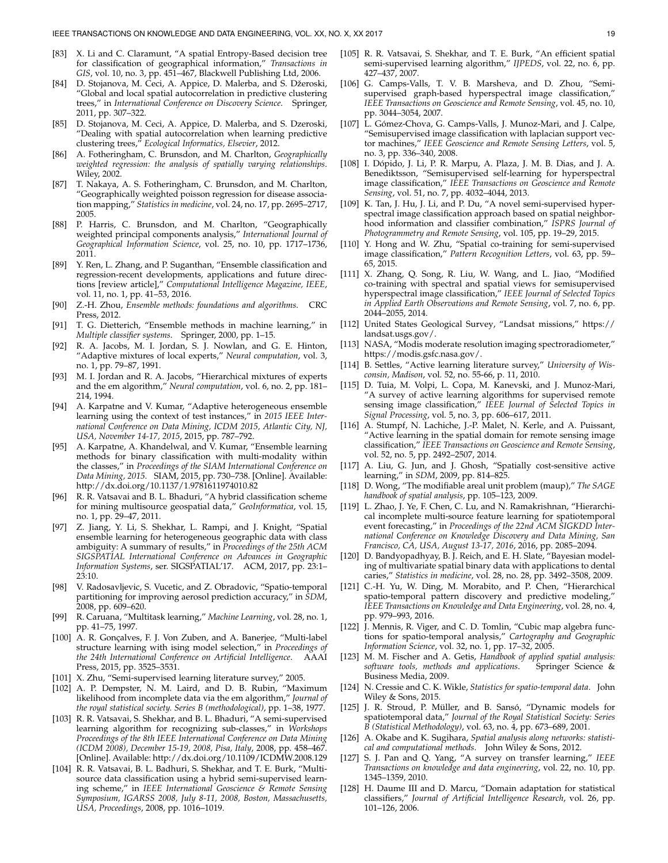- [83] X. Li and C. Claramunt, "A spatial Entropy-Based decision tree for classification of geographical information," *Transactions in GIS*, vol. 10, no. 3, pp. 451–467, Blackwell Publishing Ltd, 2006.
- [84] D. Stojanova, M. Ceci, A. Appice, D. Malerba, and S. Džeroski, "Global and local spatial autocorrelation in predictive clustering trees," in *International Conference on Discovery Science*. Springer, 2011, pp. 307–322.
- [85] D. Stojanova, M. Ceci, A. Appice, D. Malerba, and S. Dzeroski, "Dealing with spatial autocorrelation when learning predictive clustering trees," *Ecological Informatics, Elsevier*, 2012.
- [86] A. Fotheringham, C. Brunsdon, and M. Charlton, *Geographically weighted regression: the analysis of spatially varying relationships*. Wiley, 2002.
- [87] T. Nakaya, A. S. Fotheringham, C. Brunsdon, and M. Charlton, "Geographically weighted poisson regression for disease association mapping," *Statistics in medicine*, vol. 24, no. 17, pp. 2695–2717, 2005.
- [88] P. Harris, C. Brunsdon, and M. Charlton, "Geographically weighted principal components analysis," *International Journal of Geographical Information Science*, vol. 25, no. 10, pp. 1717–1736, 2011.
- [89] Y. Ren, L. Zhang, and P. Suganthan, "Ensemble classification and regression-recent developments, applications and future directions [review article]," *Computational Intelligence Magazine, IEEE*, vol. 11, no. 1, pp. 41–53, 2016.
- [90] Z.-H. Zhou, *Ensemble methods: foundations and algorithms*. CRC Press, 2012.
- [91] T. G. Dietterich, "Ensemble methods in machine learning," in *Multiple classifier systems*. Springer, 2000, pp. 1–15.
- [92] R. A. Jacobs, M. I. Jordan, S. J. Nowlan, and G. E. Hinton, "Adaptive mixtures of local experts," *Neural computation*, vol. 3, no. 1, pp. 79–87, 1991.
- M. I. Jordan and R. A. Jacobs, "Hierarchical mixtures of experts and the em algorithm," *Neural computation*, vol. 6, no. 2, pp. 181– 214, 1994.
- [94] A. Karpatne and V. Kumar, "Adaptive heterogeneous ensemble learning using the context of test instances," in *2015 IEEE International Conference on Data Mining, ICDM 2015, Atlantic City, NJ, USA, November 14-17, 2015*, 2015, pp. 787–792.
- [95] A. Karpatne, A. Khandelwal, and V. Kumar, "Ensemble learning methods for binary classification with multi-modality within the classes," in *Proceedings of the SIAM International Conference on Data Mining, 2015*. SIAM, 2015, pp. 730–738. [Online]. Available: http://dx.doi.org/10.1137/1.9781611974010.82
- [96] R. R. Vatsavai and B. L. Bhaduri, "A hybrid classification scheme for mining multisource geospatial data," *GeoInformatica*, vol. 15, no. 1, pp. 29–47, 2011.
- [97] Z. Jiang, Y. Li, S. Shekhar, L. Rampi, and J. Knight, "Spatial ensemble learning for heterogeneous geographic data with class ambiguity: A summary of results," in *Proceedings of the 25th ACM SIGSPATIAL International Conference on Advances in Geographic Information Systems*, ser. SIGSPATIAL'17. ACM, 2017, pp. 23:1– 23:10.
- [98] V. Radosavljevic, S. Vucetic, and Z. Obradovic, "Spatio-temporal partitioning for improving aerosol prediction accuracy," in *SDM*, 2008, pp. 609–620.
- [99] R. Caruana, "Multitask learning," *Machine Learning*, vol. 28, no. 1, pp. 41–75, 1997.
- [100] A. R. Gonçalves, F. J. Von Zuben, and A. Banerjee, "Multi-label structure learning with ising model selection," in *Proceedings of the 24th International Conference on Artificial Intelligence*. AAAI Press, 2015, pp. 3525–3531.
- [101] X. Zhu, "Semi-supervised learning literature survey," 2005.
- [102] A. P. Dempster, N. M. Laird, and D. B. Rubin, "Maximum likelihood from incomplete data via the em algorithm," *Journal of the royal statistical society. Series B (methodological)*, pp. 1–38, 1977.
- [103] R. R. Vatsavai, S. Shekhar, and B. L. Bhaduri, "A semi-supervised learning algorithm for recognizing sub-classes," in *Workshops Proceedings of the 8th IEEE International Conference on Data Mining (ICDM 2008), December 15-19, 2008, Pisa, Italy*, 2008, pp. 458–467. [Online]. Available: http://dx.doi.org/10.1109/ICDMW.2008.129
- [104] R. R. Vatsavai, B. L. Badhuri, S. Shekhar, and T. E. Burk, "Multisource data classification using a hybrid semi-supervised learning scheme," in *IEEE International Geoscience & Remote Sensing Symposium, IGARSS 2008, July 8-11, 2008, Boston, Massachusetts, USA, Proceedings*, 2008, pp. 1016–1019.
- [105] R. R. Vatsavai, S. Shekhar, and T. E. Burk, "An efficient spatial semi-supervised learning algorithm," *IJPEDS*, vol. 22, no. 6, pp. 427–437, 2007.
- [106] G. Camps-Valls, T. V. B. Marsheva, and D. Zhou, "Semisupervised graph-based hyperspectral image classification," *IEEE Transactions on Geoscience and Remote Sensing*, vol. 45, no. 10, pp. 3044–3054, 2007.
- [107] L. Gómez-Chova, G. Camps-Valls, J. Munoz-Mari, and J. Calpe, "Semisupervised image classification with laplacian support vector machines," *IEEE Geoscience and Remote Sensing Letters*, vol. 5, no. 3, pp. 336–340, 2008.
- [108] I. Dópido, J. Li, P. R. Marpu, A. Plaza, J. M. B. Dias, and J. A. Benediktsson, "Semisupervised self-learning for hyperspectral image classification," *IEEE Transactions on Geoscience and Remote Sensing*, vol. 51, no. 7, pp. 4032–4044, 2013.
- [109] K. Tan, J. Hu, J. Li, and P. Du, "A novel semi-supervised hyperspectral image classification approach based on spatial neighborhood information and classifier combination," *ISPRS Journal of Photogrammetry and Remote Sensing*, vol. 105, pp. 19–29, 2015.
- [110] Y. Hong and W. Zhu, "Spatial co-training for semi-supervised image classification," *Pattern Recognition Letters*, vol. 63, pp. 59– 65, 2015.
- [111] X. Zhang, Q. Song, R. Liu, W. Wang, and L. Jiao, "Modified co-training with spectral and spatial views for semisupervised hyperspectral image classification," *IEEE Journal of Selected Topics in Applied Earth Observations and Remote Sensing*, vol. 7, no. 6, pp. 2044–2055, 2014.
- [112] United States Geological Survey, "Landsat missions," https:// landsat.usgs.gov/.
- [113] NASA, "Modis moderate resolution imaging spectroradiometer," https://modis.gsfc.nasa.gov/.
- [114] B. Settles, "Active learning literature survey," *University of Wisconsin, Madison*, vol. 52, no. 55-66, p. 11, 2010.
- [115] D. Tuia, M. Volpi, L. Copa, M. Kanevski, and J. Munoz-Mari, "A survey of active learning algorithms for supervised remote sensing image classification," *IEEE Journal of Selected Topics in Signal Processing*, vol. 5, no. 3, pp. 606–617, 2011.
- [116] A. Stumpf, N. Lachiche, J.-P. Malet, N. Kerle, and A. Puissant, "Active learning in the spatial domain for remote sensing image classification," *IEEE Transactions on Geoscience and Remote Sensing*, vol. 52, no. 5, pp. 2492–2507, 2014.
- [117] A. Liu, G. Jun, and J. Ghosh, "Spatially cost-sensitive active learning," in *SDM*, 2009, pp. 814–825.
- [118] D. Wong, "The modifiable areal unit problem (maup)," *The SAGE handbook of spatial analysis*, pp. 105–123, 2009.
- [119] L. Zhao, J. Ye, F. Chen, C. Lu, and N. Ramakrishnan, "Hierarchical incomplete multi-source feature learning for spatiotemporal event forecasting," in *Proceedings of the 22nd ACM SIGKDD International Conference on Knowledge Discovery and Data Mining, San Francisco, CA, USA, August 13-17, 2016*, 2016, pp. 2085–2094.
- [120] D. Bandyopadhyay, B. J. Reich, and E. H. Slate, "Bayesian modeling of multivariate spatial binary data with applications to dental caries," *Statistics in medicine*, vol. 28, no. 28, pp. 3492–3508, 2009.
- [121] C.-H. Yu, W. Ding, M. Morabito, and P. Chen, "Hierarchical spatio-temporal pattern discovery and predictive modeling," *IEEE Transactions on Knowledge and Data Engineering*, vol. 28, no. 4, pp. 979–993, 2016.
- [122] J. Mennis, R. Viger, and C. D. Tomlin, "Cubic map algebra functions for spatio-temporal analysis," *Cartography and Geographic Information Science*, vol. 32, no. 1, pp. 17–32, 2005.
- [123] M. M. Fischer and A. Getis, *Handbook of applied spatial analysis:* software tools, methods and applications. Business Media, 2009.
- [124] N. Cressie and C. K. Wikle, *Statistics for spatio-temporal data*. John Wiley & Sons, 2015.
- [125] J. R. Stroud, P. Müller, and B. Sansó, "Dynamic models for spatiotemporal data," *Journal of the Royal Statistical Society: Series B (Statistical Methodology)*, vol. 63, no. 4, pp. 673–689, 2001.
- [126] A. Okabe and K. Sugihara, *Spatial analysis along networks: statistical and computational methods*. John Wiley & Sons, 2012.
- [127] S. J. Pan and Q. Yang, "A survey on transfer learning," *IEEE Transactions on knowledge and data engineering*, vol. 22, no. 10, pp. 1345–1359, 2010.
- [128] H. Daume III and D. Marcu, "Domain adaptation for statistical classifiers," *Journal of Artificial Intelligence Research*, vol. 26, pp. 101–126, 2006.